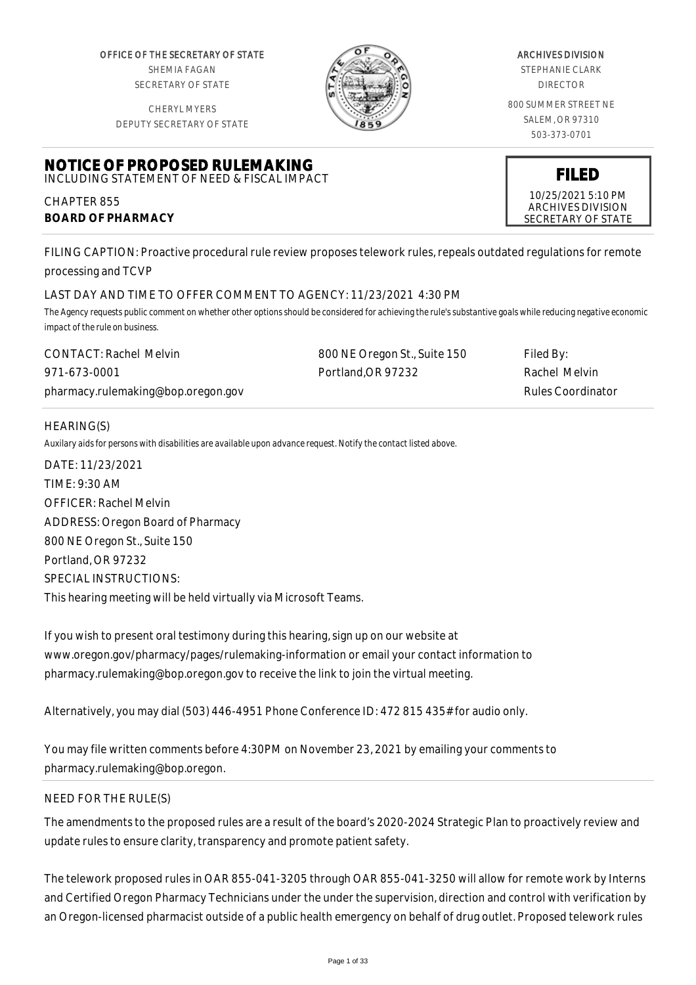OFFICE OF THE SECRETARY OF STATE SHEMIA FAGAN SECRETARY OF STATE

CHERYL MYERS



#### ARCHIVES DIVISION

STEPHANIE CLARK DIRECTOR

800 SUMMER STREET NE SALEM, OR 97310 503-373-0701

> **FILED** 10/25/2021 5:10 PM ARCHIVES DIVISION SECRETARY OF STATE

DEPUTY SECRETARY OF STATE

#### **NOTICE OF PROPOSED RULEMAKING** INCLUDING STATEMENT OF NEED & FISCAL IMPACT

CHAPTER 855 **BOARD OF PHARMACY**

FILING CAPTION: Proactive procedural rule review proposes telework rules, repeals outdated regulations for remote processing and TCVP

# LAST DAY AND TIME TO OFFER COMMENT TO AGENCY: 11/23/2021 4:30 PM

*The Agency requests public comment on whether other options should be considered for achieving the rule's substantive goals while reducing negative economic impact of the rule on business.*

| CONTACT: Rachel Melvin             | 800 NE Oregon St., Suite 150 | Filed By:         |
|------------------------------------|------------------------------|-------------------|
| 971-673-0001                       | Portland, OR 97232           | Rachel Melvin     |
| pharmacy.rulemaking@bop.oregon.gov |                              | Rules Coordinator |

# HEARING(S)

*Auxilary aids for persons with disabilities are available upon advance request. Notify the contact listed above.*

DATE: 11/23/2021 TIME: 9:30 AM OFFICER: Rachel Melvin ADDRESS: Oregon Board of Pharmacy 800 NE Oregon St., Suite 150 Portland, OR 97232 SPECIAL INSTRUCTIONS: This hearing meeting will be held virtually via Microsoft Teams.

If you wish to present oral testimony during this hearing, sign up on our website at www.oregon.gov/pharmacy/pages/rulemaking-information or email your contact information to pharmacy.rulemaking@bop.oregon.gov to receive the link to join the virtual meeting.

Alternatively, you may dial (503) 446-4951 Phone Conference ID: 472 815 435# for audio only.

You may file written comments before 4:30PM on November 23, 2021 by emailing your comments to pharmacy.rulemaking@bop.oregon.

# NEED FOR THE RULE(S)

The amendments to the proposed rules are a result of the board's 2020-2024 Strategic Plan to proactively review and update rules to ensure clarity, transparency and promote patient safety.

The telework proposed rules in OAR 855-041-3205 through OAR 855-041-3250 will allow for remote work by Interns and Certified Oregon Pharmacy Technicians under the under the supervision, direction and control with verification by an Oregon-licensed pharmacist outside of a public health emergency on behalf of drug outlet. Proposed telework rules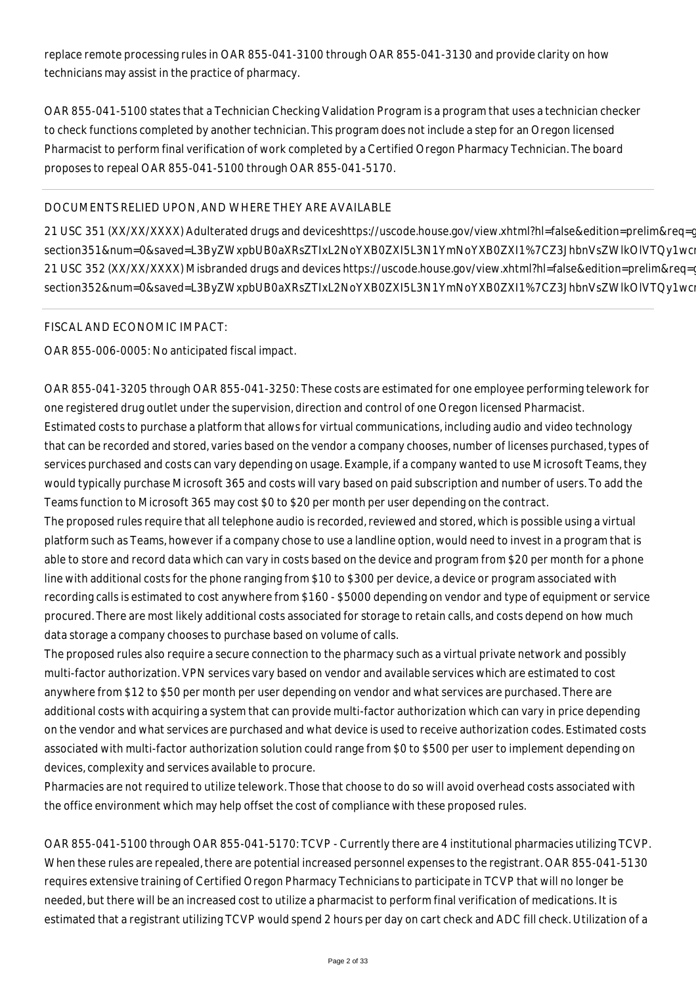replace remote processing rules in OAR 855-041-3100 through OAR 855-041-3130 and provide clarity on how technicians may assist in the practice of pharmacy.

OAR 855-041-5100 states that a Technician Checking Validation Program is a program that uses a technician checker to check functions completed by another technician. This program does not include a step for an Oregon licensed Pharmacist to perform final verification of work completed by a Certified Oregon Pharmacy Technician. The board proposes to repeal OAR 855-041-5100 through OAR 855-041-5170.

# DOCUMENTS RELIED UPON, AND WHERE THEY ARE AVAILABLE

21 USC 351 (XX/XX/XXXX) Adulterated drugs and deviceshttps://uscode.house.gov/view.xhtml?hl=false&edition=prelim&req=c section351&num=0&saved=L3ByZWxpbUB0aXRsZTIxL2NoYXB0ZXI5L3N1YmNoYXB0ZXI1%7CZ3JhbnVsZWlkOlVTQy1wc 21 USC 352 (XX/XX/XXXX) Misbranded drugs and devices https://uscode.house.gov/view.xhtml?hl=false&edition=prelim&req=q section352&num=0&saved=L3ByZWxpbUB0aXRsZTIxL2NoYXB0ZXI5L3N1YmNoYXB0ZXI1%7CZ3JhbnVsZWlkOlVTQy1wc

## FISCAL AND ECONOMIC IMPACT:

OAR 855-006-0005: No anticipated fiscal impact.

OAR 855-041-3205 through OAR 855-041-3250: These costs are estimated for one employee performing telework for one registered drug outlet under the supervision, direction and control of one Oregon licensed Pharmacist. Estimated costs to purchase a platform that allows for virtual communications, including audio and video technology that can be recorded and stored, varies based on the vendor a company chooses, number of licenses purchased, types of services purchased and costs can vary depending on usage. Example, if a company wanted to use Microsoft Teams, they would typically purchase Microsoft 365 and costs will vary based on paid subscription and number of users. To add the Teams function to Microsoft 365 may cost \$0 to \$20 per month per user depending on the contract.

The proposed rules require that all telephone audio is recorded, reviewed and stored, which is possible using a virtual platform such as Teams, however if a company chose to use a landline option, would need to invest in a program that is able to store and record data which can vary in costs based on the device and program from \$20 per month for a phone line with additional costs for the phone ranging from \$10 to \$300 per device, a device or program associated with recording calls is estimated to cost anywhere from \$160 - \$5000 depending on vendor and type of equipment or service procured. There are most likely additional costs associated for storage to retain calls, and costs depend on how much data storage a company chooses to purchase based on volume of calls.

The proposed rules also require a secure connection to the pharmacy such as a virtual private network and possibly multi-factor authorization. VPN services vary based on vendor and available services which are estimated to cost anywhere from \$12 to \$50 per month per user depending on vendor and what services are purchased. There are additional costs with acquiring a system that can provide multi-factor authorization which can vary in price depending on the vendor and what services are purchased and what device is used to receive authorization codes. Estimated costs associated with multi-factor authorization solution could range from \$0 to \$500 per user to implement depending on devices, complexity and services available to procure.

Pharmacies are not required to utilize telework. Those that choose to do so will avoid overhead costs associated with the office environment which may help offset the cost of compliance with these proposed rules.

OAR 855-041-5100 through OAR 855-041-5170: TCVP - Currently there are 4 institutional pharmacies utilizing TCVP. When these rules are repealed, there are potential increased personnel expenses to the registrant. OAR 855-041-5130 requires extensive training of Certified Oregon Pharmacy Technicians to participate in TCVP that will no longer be needed, but there will be an increased cost to utilize a pharmacist to perform final verification of medications. It is estimated that a registrant utilizing TCVP would spend 2 hours per day on cart check and ADC fill check. Utilization of a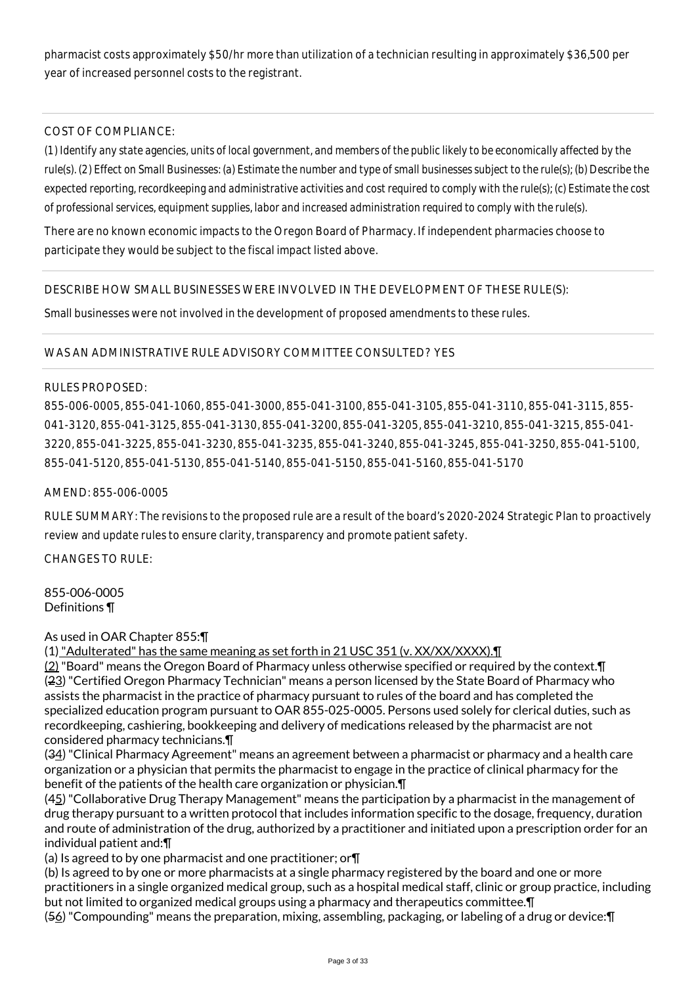pharmacist costs approximately \$50/hr more than utilization of a technician resulting in approximately \$36,500 per year of increased personnel costs to the registrant.

# COST OF COMPLIANCE:

*(1) Identify any state agencies, units of local government, and members of the public likely to be economically affected by the rule(s). (2) Effect on Small Businesses: (a) Estimate the number and type of small businesses subject to the rule(s); (b) Describe the expected reporting, recordkeeping and administrative activities and cost required to comply with the rule(s); (c) Estimate the cost of professional services, equipment supplies, labor and increased administration required to comply with the rule(s).*

There are no known economic impacts to the Oregon Board of Pharmacy. If independent pharmacies choose to participate they would be subject to the fiscal impact listed above.

## DESCRIBE HOW SMALL BUSINESSES WERE INVOLVED IN THE DEVELOPMENT OF THESE RULE(S):

Small businesses were not involved in the development of proposed amendments to these rules.

## WAS AN ADMINISTRATIVE RULE ADVISORY COMMITTEE CONSULTED? YES

## RULES PROPOSED:

855-006-0005, 855-041-1060, 855-041-3000, 855-041-3100, 855-041-3105, 855-041-3110, 855-041-3115, 855- 041-3120, 855-041-3125, 855-041-3130, 855-041-3200, 855-041-3205, 855-041-3210, 855-041-3215, 855-041- 3220, 855-041-3225, 855-041-3230, 855-041-3235, 855-041-3240, 855-041-3245, 855-041-3250, 855-041-5100, 855-041-5120, 855-041-5130, 855-041-5140, 855-041-5150, 855-041-5160, 855-041-5170

## AMEND: 855-006-0005

RULE SUMMARY: The revisions to the proposed rule are a result of the board's 2020-2024 Strategic Plan to proactively review and update rules to ensure clarity, transparency and promote patient safety.

 $CHANGFS TO RIIF$ 

855-006-0005 Definitions ¶

## As used in OAR Chapter 855:¶

(1) "Adulterated" has the same meaning as set forth in 21 USC 351 (v. XX/XX/XXXX).

(2) "Board" means the Oregon Board of Pharmacy unless otherwise specified or required by the context.¶ (23) "Certified Oregon Pharmacy Technician" means a person licensed by the State Board of Pharmacy who assists the pharmacist in the practice of pharmacy pursuant to rules of the board and has completed the specialized education program pursuant to OAR 855-025-0005. Persons used solely for clerical duties, such as recordkeeping, cashiering, bookkeeping and delivery of medications released by the pharmacist are not considered pharmacy technicians.¶

(34) "Clinical Pharmacy Agreement" means an agreement between a pharmacist or pharmacy and a health care organization or a physician that permits the pharmacist to engage in the practice of clinical pharmacy for the benefit of the patients of the health care organization or physician.¶

(45) "Collaborative Drug Therapy Management" means the participation by a pharmacist in the management of drug therapy pursuant to a written protocol that includes information specific to the dosage, frequency, duration and route of administration of the drug, authorized by a practitioner and initiated upon a prescription order for an individual patient and:¶

(a) Is agreed to by one pharmacist and one practitioner; or¶

(b) Is agreed to by one or more pharmacists at a single pharmacy registered by the board and one or more practitioners in a single organized medical group, such as a hospital medical staff, clinic or group practice, including but not limited to organized medical groups using a pharmacy and therapeutics committee.¶

(56) "Compounding" means the preparation, mixing, assembling, packaging, or labeling of a drug or device:¶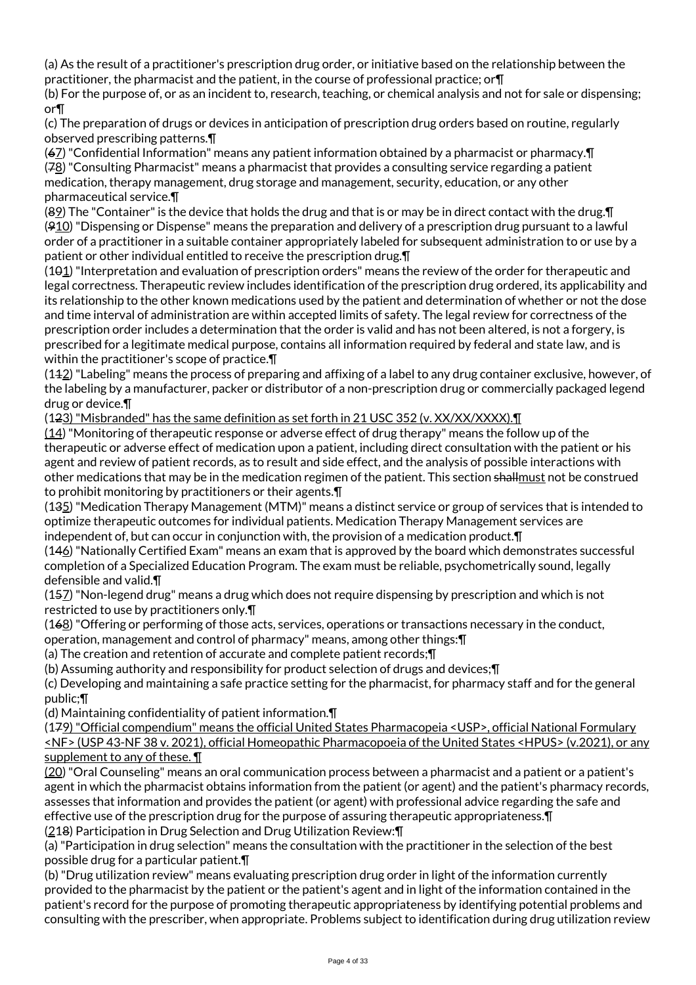(a) As the result of a practitioner's prescription drug order, or initiative based on the relationship between the practitioner, the pharmacist and the patient, in the course of professional practice; or¶

(b) For the purpose of, or as an incident to, research, teaching, or chemical analysis and not for sale or dispensing; or¶

(c) The preparation of drugs or devices in anticipation of prescription drug orders based on routine, regularly observed prescribing patterns.¶

(67) "Confidential Information" means any patient information obtained by a pharmacist or pharmacy.¶ (78) "Consulting Pharmacist" means a pharmacist that provides a consulting service regarding a patient medication, therapy management, drug storage and management, security, education, or any other pharmaceutical service.¶

(89) The "Container" is the device that holds the drug and that is or may be in direct contact with the drug.¶ (910) "Dispensing or Dispense" means the preparation and delivery of a prescription drug pursuant to a lawful order of a practitioner in a suitable container appropriately labeled for subsequent administration to or use by a patient or other individual entitled to receive the prescription drug.¶

(101) "Interpretation and evaluation of prescription orders" means the review of the order for therapeutic and legal correctness. Therapeutic review includes identification of the prescription drug ordered, its applicability and its relationship to the other known medications used by the patient and determination of whether or not the dose and time interval of administration are within accepted limits of safety. The legal review for correctness of the prescription order includes a determination that the order is valid and has not been altered, is not a forgery, is prescribed for a legitimate medical purpose, contains all information required by federal and state law, and is within the practitioner's scope of practice.¶

(112) "Labeling" means the process of preparing and affixing of a label to any drug container exclusive, however, of the labeling by a manufacturer, packer or distributor of a non-prescription drug or commercially packaged legend drug or device.¶

(123) "Misbranded" has the same definition as set forth in 21 USC 352 (v. XX/XX/XXXX).¶

(14) "Monitoring of therapeutic response or adverse effect of drug therapy" means the follow up of the therapeutic or adverse effect of medication upon a patient, including direct consultation with the patient or his agent and review of patient records, as to result and side effect, and the analysis of possible interactions with other medications that may be in the medication regimen of the patient. This section shall must not be construed to prohibit monitoring by practitioners or their agents.¶

(135) "Medication Therapy Management (MTM)" means a distinct service or group of services that is intended to optimize therapeutic outcomes for individual patients. Medication Therapy Management services are independent of, but can occur in conjunction with, the provision of a medication product.¶

(146) "Nationally Certified Exam" means an exam that is approved by the board which demonstrates successful completion of a Specialized Education Program. The exam must be reliable, psychometrically sound, legally defensible and valid.¶

(157) "Non-legend drug" means a drug which does not require dispensing by prescription and which is not restricted to use by practitioners only.¶

(168) "Offering or performing of those acts, services, operations or transactions necessary in the conduct, operation, management and control of pharmacy" means, among other things:¶

(a) The creation and retention of accurate and complete patient records;¶

(b) Assuming authority and responsibility for product selection of drugs and devices;¶

(c) Developing and maintaining a safe practice setting for the pharmacist, for pharmacy staff and for the general public;¶

(d) Maintaining confidentiality of patient information.¶

(179) "Official compendium" means the official United States Pharmacopeia <USP>, official National Formulary <NF> (USP 43-NF 38 v. 2021), official Homeopathic Pharmacopoeia of the United States <HPUS> (v.2021), or any supplement to any of these. **T** 

(20) "Oral Counseling" means an oral communication process between a pharmacist and a patient or a patient's agent in which the pharmacist obtains information from the patient (or agent) and the patient's pharmacy records, assesses that information and provides the patient (or agent) with professional advice regarding the safe and effective use of the prescription drug for the purpose of assuring therapeutic appropriateness.¶ (218) Participation in Drug Selection and Drug Utilization Review:¶

(a) "Participation in drug selection" means the consultation with the practitioner in the selection of the best possible drug for a particular patient.¶

(b) "Drug utilization review" means evaluating prescription drug order in light of the information currently provided to the pharmacist by the patient or the patient's agent and in light of the information contained in the patient's record for the purpose of promoting therapeutic appropriateness by identifying potential problems and consulting with the prescriber, when appropriate. Problems subject to identification during drug utilization review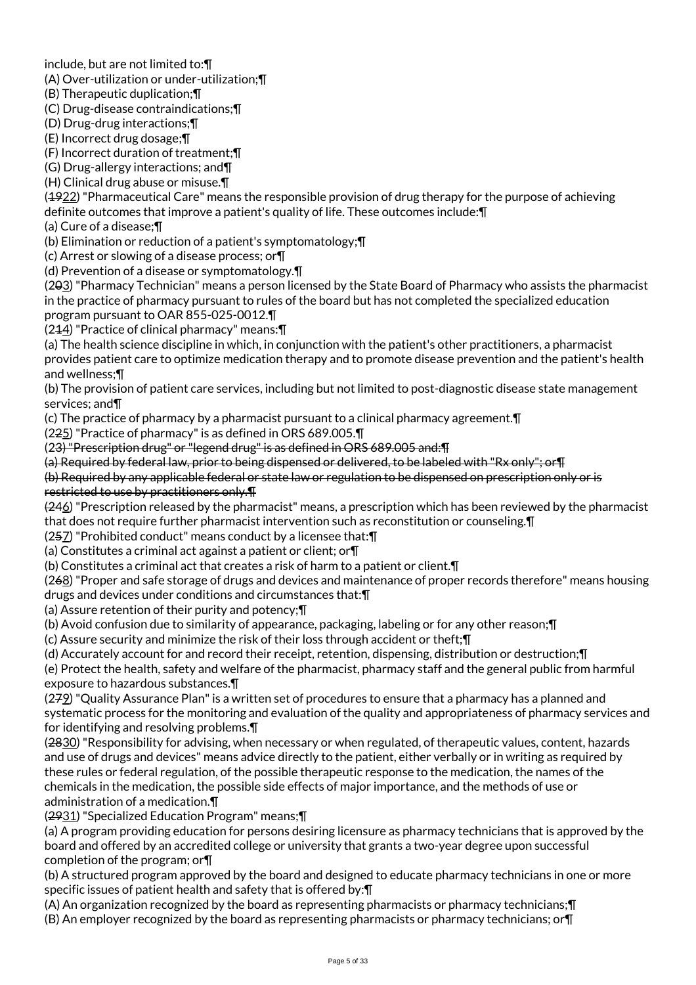include, but are not limited to:¶

(A) Over-utilization or under-utilization;¶

(B) Therapeutic duplication;¶

(C) Drug-disease contraindications;¶

(D) Drug-drug interactions;¶

(E) Incorrect drug dosage;¶

(F) Incorrect duration of treatment;¶

(G) Drug-allergy interactions; and¶

(H) Clinical drug abuse or misuse.¶

(4922) "Pharmaceutical Care" means the responsible provision of drug therapy for the purpose of achieving definite outcomes that improve a patient's quality of life. These outcomes include:¶

(a) Cure of a disease;¶

(b) Elimination or reduction of a patient's symptomatology;¶

(c) Arrest or slowing of a disease process; or¶

(d) Prevention of a disease or symptomatology.¶

(203) "Pharmacy Technician" means a person licensed by the State Board of Pharmacy who assists the pharmacist in the practice of pharmacy pursuant to rules of the board but has not completed the specialized education program pursuant to OAR 855-025-0012.¶

(214) "Practice of clinical pharmacy" means:¶

(a) The health science discipline in which, in conjunction with the patient's other practitioners, a pharmacist provides patient care to optimize medication therapy and to promote disease prevention and the patient's health and wellness;¶

(b) The provision of patient care services, including but not limited to post-diagnostic disease state management services; and¶

(c) The practice of pharmacy by a pharmacist pursuant to a clinical pharmacy agreement.¶

(225) "Practice of pharmacy" is as defined in ORS 689.005.¶

(23) "Prescription drug" or "legend drug" is as defined in ORS 689.005 and:¶

(a) Required by federal law, prior to being dispensed or delivered, to be labeled with "Rx only"; or¶

(b) Required by any applicable federal or state law or regulation to be dispensed on prescription only or is restricted to use by practitioners only.¶

(246) "Prescription released by the pharmacist" means, a prescription which has been reviewed by the pharmacist that does not require further pharmacist intervention such as reconstitution or counseling.¶

(257) "Prohibited conduct" means conduct by a licensee that:¶

(a) Constitutes a criminal act against a patient or client; or $\P$ 

(b) Constitutes a criminal act that creates a risk of harm to a patient or client.¶

(268) "Proper and safe storage of drugs and devices and maintenance of proper records therefore" means housing drugs and devices under conditions and circumstances that:¶

(a) Assure retention of their purity and potency;¶

(b) Avoid confusion due to similarity of appearance, packaging, labeling or for any other reason;¶

(c) Assure security and minimize the risk of their loss through accident or theft;¶

(d) Accurately account for and record their receipt, retention, dispensing, distribution or destruction;¶

(e) Protect the health, safety and welfare of the pharmacist, pharmacy staff and the general public from harmful exposure to hazardous substances.¶

(279) "Quality Assurance Plan" is a written set of procedures to ensure that a pharmacy has a planned and systematic process for the monitoring and evaluation of the quality and appropriateness of pharmacy services and for identifying and resolving problems.¶

(2830) "Responsibility for advising, when necessary or when regulated, of therapeutic values, content, hazards and use of drugs and devices" means advice directly to the patient, either verbally or in writing as required by these rules or federal regulation, of the possible therapeutic response to the medication, the names of the chemicals in the medication, the possible side effects of major importance, and the methods of use or administration of a medication.¶

(2931) "Specialized Education Program" means;¶

(a) A program providing education for persons desiring licensure as pharmacy technicians that is approved by the board and offered by an accredited college or university that grants a two-year degree upon successful completion of the program; or¶

(b) A structured program approved by the board and designed to educate pharmacy technicians in one or more specific issues of patient health and safety that is offered by:¶

(A) An organization recognized by the board as representing pharmacists or pharmacy technicians;¶ (B) An employer recognized by the board as representing pharmacists or pharmacy technicians; or¶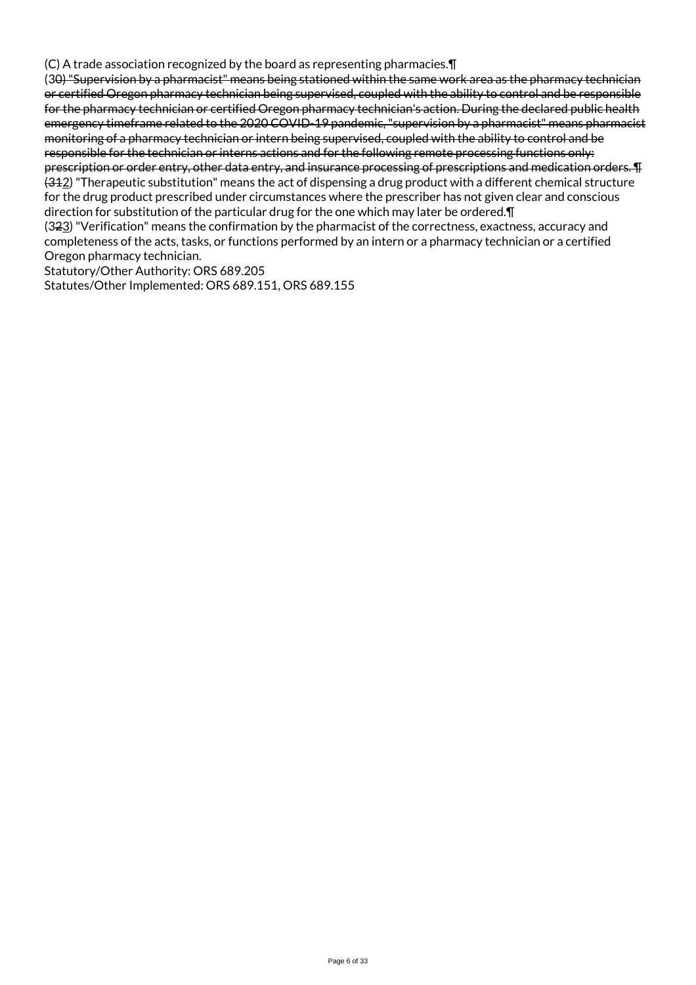(C) A trade association recognized by the board as representing pharmacies.¶

(30) "Supervision by a pharmacist" means being stationed within the same work area as the pharmacy technician or certified Oregon pharmacy technician being supervised, coupled with the ability to control and be responsible for the pharmacy technician or certified Oregon pharmacy technician's action. During the declared public health emergency timeframe related to the 2020 COVID-19 pandemic, "supervision by a pharmacist" means pharmacist monitoring of a pharmacy technician or intern being supervised, coupled with the ability to control and be responsible for the technician or interns actions and for the following remote processing functions only: prescription or order entry, other data entry, and insurance processing of prescriptions and medication orders. ¶  $(312)$  "Therapeutic substitution" means the act of dispensing a drug product with a different chemical structure for the drug product prescribed under circumstances where the prescriber has not given clear and conscious direction for substitution of the particular drug for the one which may later be ordered.¶ (323) "Verification" means the confirmation by the pharmacist of the correctness, exactness, accuracy and completeness of the acts, tasks, or functions performed by an intern or a pharmacy technician or a certified Oregon pharmacy technician.

Statutory/Other Authority: ORS 689.205

Statutes/Other Implemented: ORS 689.151, ORS 689.155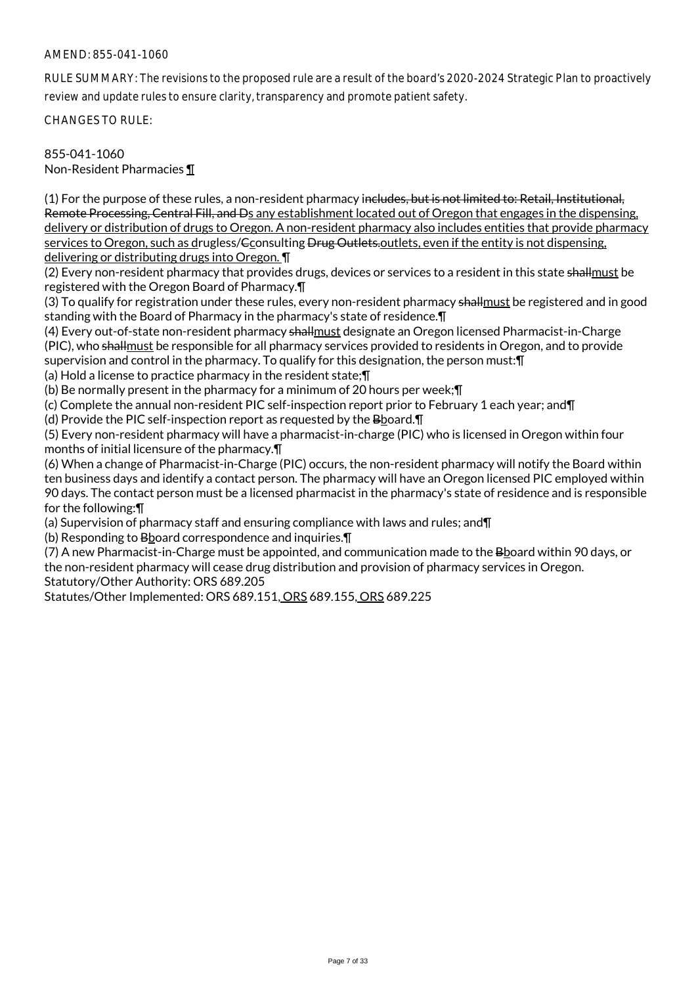## AMEND: 855-041-1060

RULE SUMMARY: The revisions to the proposed rule are a result of the board's 2020-2024 Strategic Plan to proactively review and update rules to ensure clarity, transparency and promote patient safety.

CHANGES TO RULE:

855-041-1060

Non-Resident Pharmacies ¶

(1) For the purpose of these rules, a non-resident pharmacy includes, but is not limited to: Retail, Institutional, Remote Processing, Central Fill, and Ds any establishment located out of Oregon that engages in the dispensing, delivery or distribution of drugs to Oregon. A non-resident pharmacy also includes entities that provide pharmacy services to Oregon, such as drugless/Gconsulting <del>Drug Outlets.</del>outlets, even if the entity is not dispensing, delivering or distributing drugs into Oregon. ¶

(2) Every non-resident pharmacy that provides drugs, devices or services to a resident in this state shallmust be registered with the Oregon Board of Pharmacy.¶

(3) To qualify for registration under these rules, every non-resident pharmacy shallmust be registered and in good standing with the Board of Pharmacy in the pharmacy's state of residence.¶

(4) Every out-of-state non-resident pharmacy shallmust designate an Oregon licensed Pharmacist-in-Charge (PIC), who shallmust be responsible for all pharmacy services provided to residents in Oregon, and to provide supervision and control in the pharmacy. To qualify for this designation, the person must:¶

(a) Hold a license to practice pharmacy in the resident state;¶

(b) Be normally present in the pharmacy for a minimum of 20 hours per week;¶

(c) Complete the annual non-resident PIC self-inspection report prior to February 1 each year; and¶

(d) Provide the PIC self-inspection report as requested by the Bboard.¶

(5) Every non-resident pharmacy will have a pharmacist-in-charge (PIC) who is licensed in Oregon within four months of initial licensure of the pharmacy.¶

(6) When a change of Pharmacist-in-Charge (PIC) occurs, the non-resident pharmacy will notify the Board within ten business days and identify a contact person. The pharmacy will have an Oregon licensed PIC employed within 90 days. The contact person must be a licensed pharmacist in the pharmacy's state of residence and is responsible for the following:¶

(a) Supervision of pharmacy staff and ensuring compliance with laws and rules; and¶

(b) Responding to Bboard correspondence and inquiries.¶

(7) A new Pharmacist-in-Charge must be appointed, and communication made to the Bboard within 90 days, or the non-resident pharmacy will cease drug distribution and provision of pharmacy services in Oregon.

Statutory/Other Authority: ORS 689.205

Statutes/Other Implemented: ORS 689.151, ORS 689.155, ORS 689.225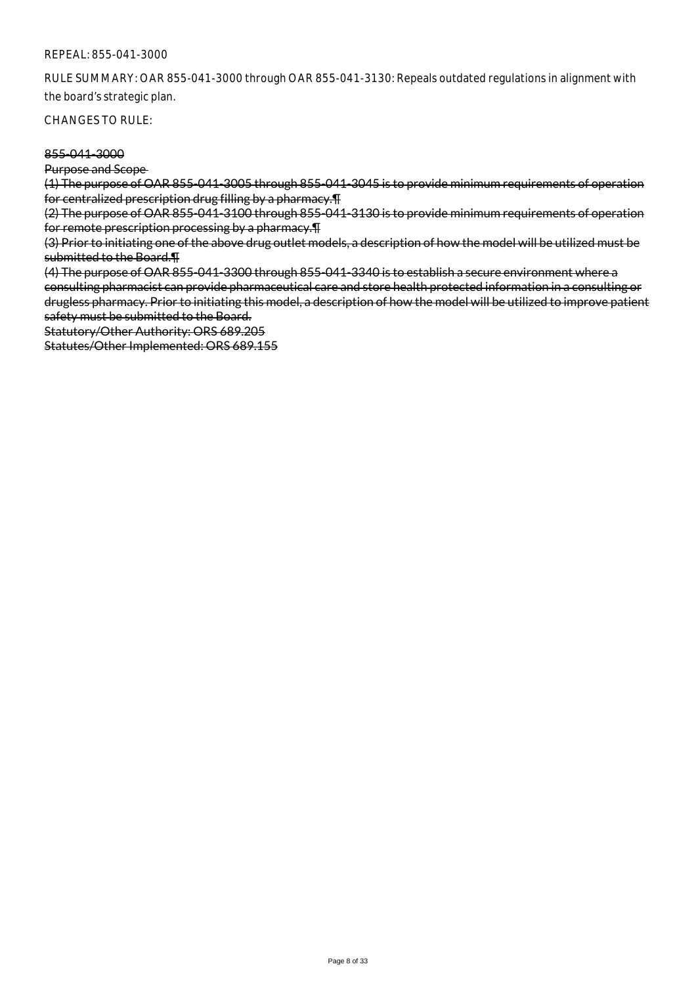RULE SUMMARY: OAR 855-041-3000 through OAR 855-041-3130: Repeals outdated regulations in alignment with the board's strategic plan.

CHANGES TO RULE:

### 855-041-3000

Purpose and Scope

(1) The purpose of OAR 855-041-3005 through 855-041-3045 is to provide minimum requirements of operation for centralized prescription drug filling by a pharmacy.¶

(2) The purpose of OAR 855-041-3100 through 855-041-3130 is to provide minimum requirements of operation for remote prescription processing by a pharmacy.¶

(3) Prior to initiating one of the above drug outlet models, a description of how the model will be utilized must be submitted to the Board.¶

(4) The purpose of OAR 855-041-3300 through 855-041-3340 is to establish a secure environment where a consulting pharmacist can provide pharmaceutical care and store health protected information in a consulting or drugless pharmacy. Prior to initiating this model, a description of how the model will be utilized to improve patient safety must be submitted to the Board.

Statutory/Other Authority: ORS 689.205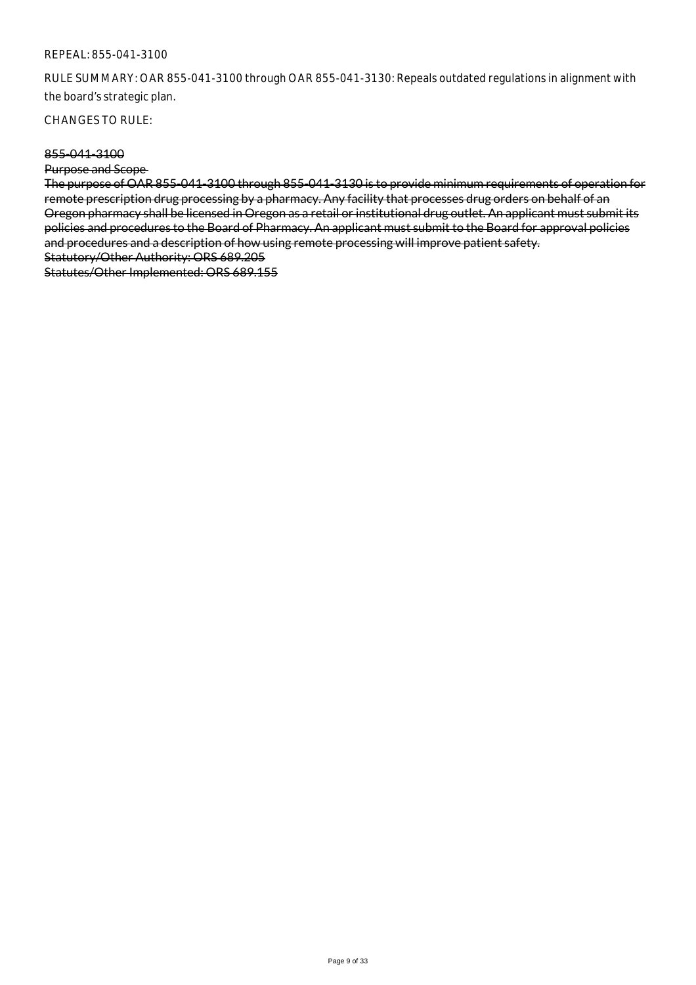RULE SUMMARY: OAR 855-041-3100 through OAR 855-041-3130: Repeals outdated regulations in alignment with the board's strategic plan.

CHANGES TO RULE:

#### 855-041-3100

Purpose and Scope

The purpose of OAR 855-041-3100 through 855-041-3130 is to provide minimum requirements of operation for remote prescription drug processing by a pharmacy. Any facility that processes drug orders on behalf of an Oregon pharmacy shall be licensed in Oregon as a retail or institutional drug outlet. An applicant must submit its policies and procedures to the Board of Pharmacy. An applicant must submit to the Board for approval policies and procedures and a description of how using remote processing will improve patient safety. Statutory/Other Authority: ORS 689.205 Statutes/Other Implemented: ORS 689.155

Page 9 of 33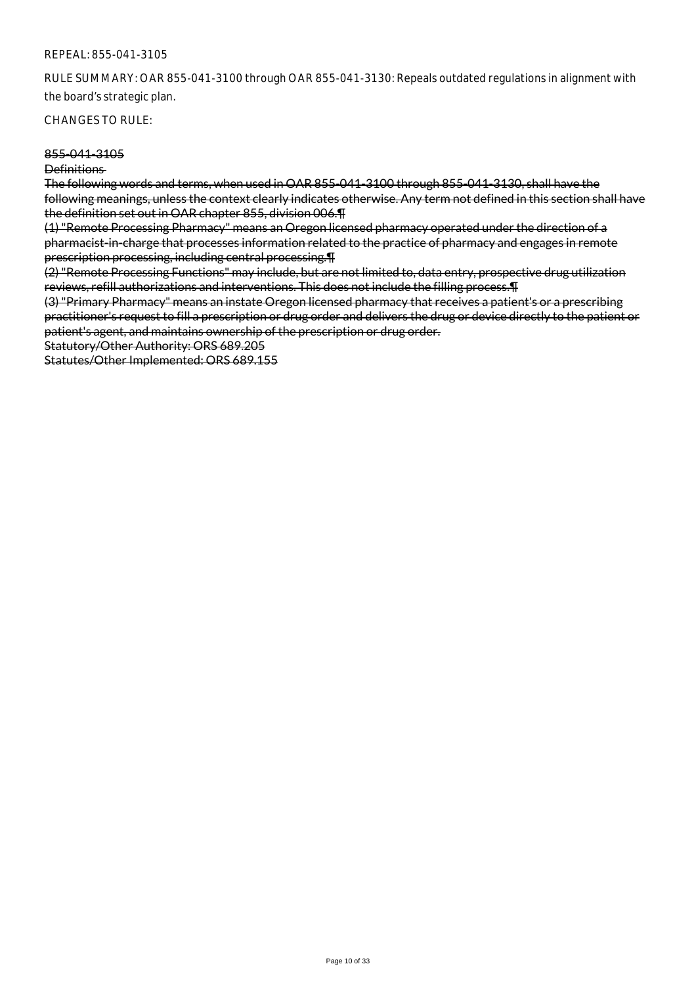RULE SUMMARY: OAR 855-041-3100 through OAR 855-041-3130: Repeals outdated regulations in alignment with the board's strategic plan.

CHANGES TO RULE:

#### 855-041-3105

Definitions

The following words and terms, when used in OAR 855-041-3100 through 855-041-3130, shall have the following meanings, unless the context clearly indicates otherwise. Any term not defined in this section shall have the definition set out in OAR chapter 855, division 006.¶

(1) "Remote Processing Pharmacy" means an Oregon licensed pharmacy operated under the direction of a pharmacist-in-charge that processes information related to the practice of pharmacy and engages in remote prescription processing, including central processing.¶

(2) "Remote Processing Functions" may include, but are not limited to, data entry, prospective drug utilization reviews, refill authorizations and interventions. This does not include the filling process.¶

(3) "Primary Pharmacy" means an instate Oregon licensed pharmacy that receives a patient's or a prescribing practitioner's request to fill a prescription or drug order and delivers the drug or device directly to the patient or patient's agent, and maintains ownership of the prescription or drug order.

Statutory/Other Authority: ORS 689.205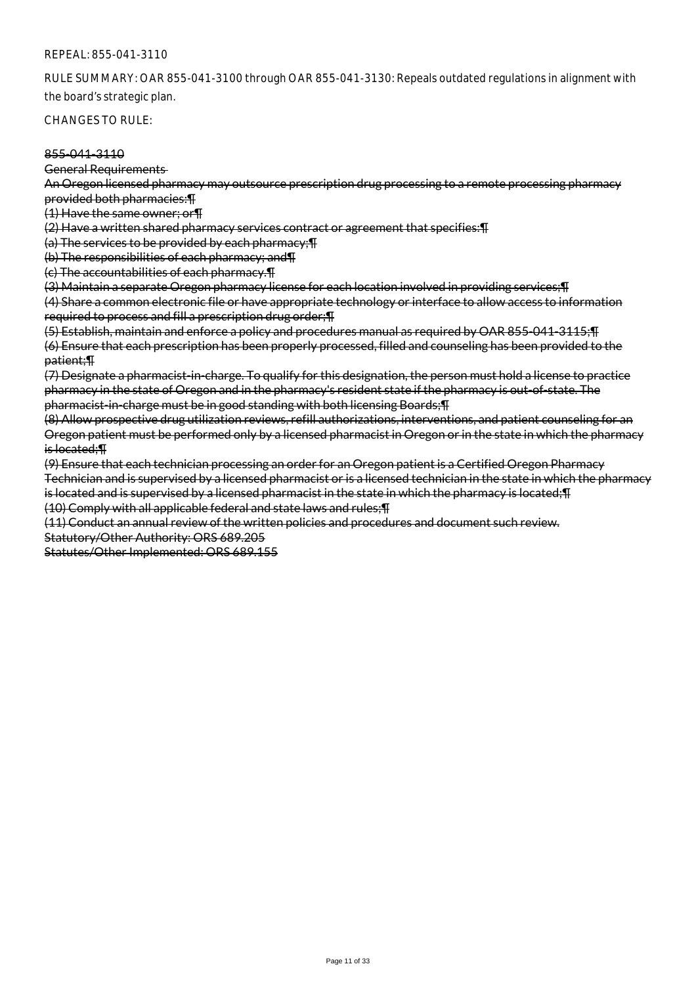RULE SUMMARY: OAR 855-041-3100 through OAR 855-041-3130: Repeals outdated regulations in alignment with the board's strategic plan.

CHANGES TO RULE:

#### 855-041-3110

General Requirements

An Oregon licensed pharmacy may outsource prescription drug processing to a remote processing pharmacy provided both pharmacies:¶

(1) Have the same owner; or¶

(2) Have a written shared pharmacy services contract or agreement that specifies:¶

(a) The services to be provided by each pharmacy;¶

(b) The responsibilities of each pharmacy; and¶

(c) The accountabilities of each pharmacy.¶

(3) Maintain a separate Oregon pharmacy license for each location involved in providing services;¶

(4) Share a common electronic file or have appropriate technology or interface to allow access to information required to process and fill a prescription drug order;¶

(5) Establish, maintain and enforce a policy and procedures manual as required by OAR 855-041-3115;¶ (6) Ensure that each prescription has been properly processed, filled and counseling has been provided to the patient;¶

(7) Designate a pharmacist-in-charge. To qualify for this designation, the person must hold a license to practice pharmacy in the state of Oregon and in the pharmacy's resident state if the pharmacy is out-of-state. The pharmacist-in-charge must be in good standing with both licensing Boards;¶

(8) Allow prospective drug utilization reviews, refill authorizations, interventions, and patient counseling for an Oregon patient must be performed only by a licensed pharmacist in Oregon or in the state in which the pharmacy is located;¶

(9) Ensure that each technician processing an order for an Oregon patient is a Certified Oregon Pharmacy Technician and is supervised by a licensed pharmacist or is a licensed technician in the state in which the pharmacy is located and is supervised by a licensed pharmacist in the state in which the pharmacy is located;¶ (10) Comply with all applicable federal and state laws and rules;¶

(11) Conduct an annual review of the written policies and procedures and document such review.

Statutory/Other Authority: ORS 689.205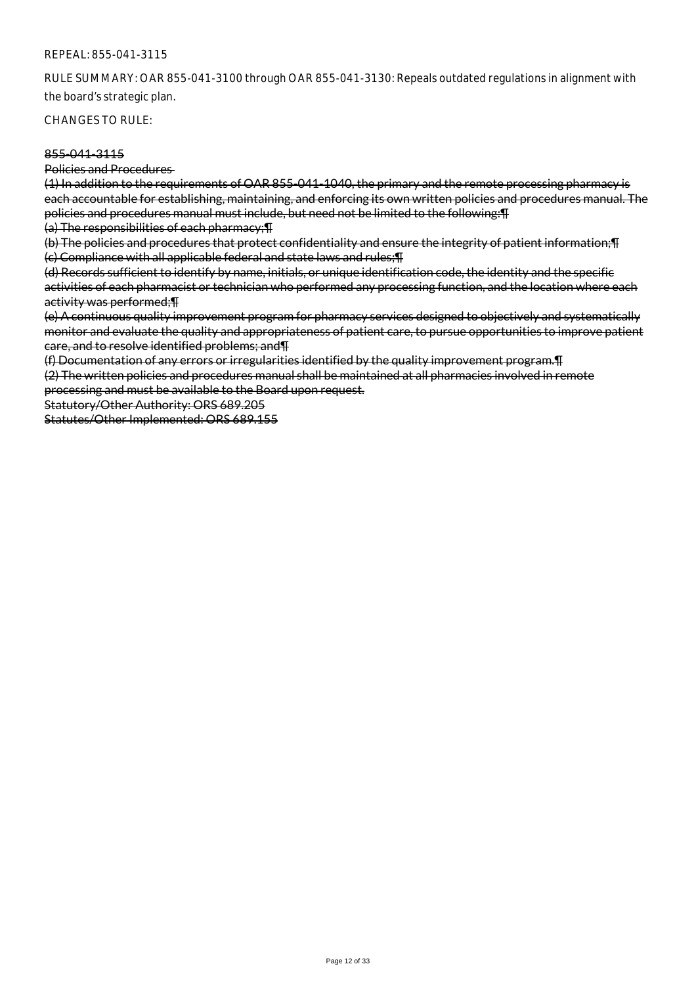RULE SUMMARY: OAR 855-041-3100 through OAR 855-041-3130: Repeals outdated regulations in alignment with the board's strategic plan.

CHANGES TO RULE:

### 855-041-3115

Policies and Procedures

(1) In addition to the requirements of OAR 855-041-1040, the primary and the remote processing pharmacy is each accountable for establishing, maintaining, and enforcing its own written policies and procedures manual. The policies and procedures manual must include, but need not be limited to the following:¶

(a) The responsibilities of each pharmacy;¶

(b) The policies and procedures that protect confidentiality and ensure the integrity of patient information;¶ (c) Compliance with all applicable federal and state laws and rules;¶

(d) Records sufficient to identify by name, initials, or unique identification code, the identity and the specific activities of each pharmacist or technician who performed any processing function, and the location where each activity was performed;¶

(e) A continuous quality improvement program for pharmacy services designed to objectively and systematically monitor and evaluate the quality and appropriateness of patient care, to pursue opportunities to improve patient care, and to resolve identified problems; and¶

(f) Documentation of any errors or irregularities identified by the quality improvement program.¶

(2) The written policies and procedures manual shall be maintained at all pharmacies involved in remote processing and must be available to the Board upon request.

Statutory/Other Authority: ORS 689.205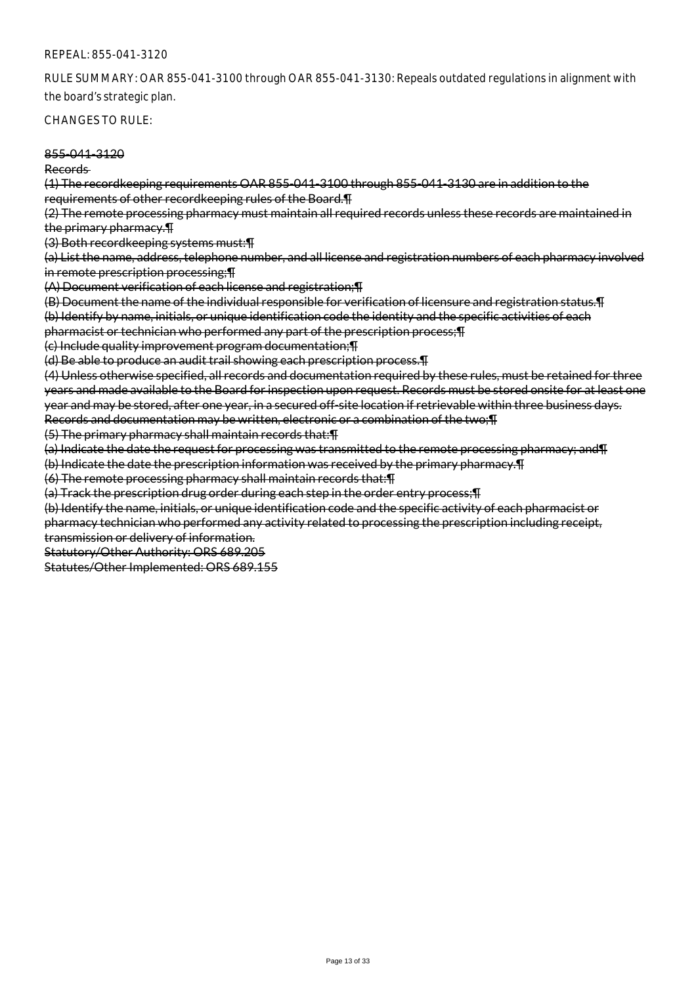RULE SUMMARY: OAR 855-041-3100 through OAR 855-041-3130: Repeals outdated regulations in alignment with the board's strategic plan.

#### CHANGES TO RULE:

#### 855-041-3120

Records

(1) The recordkeeping requirements OAR 855-041-3100 through 855-041-3130 are in addition to the requirements of other recordkeeping rules of the Board.¶

(2) The remote processing pharmacy must maintain all required records unless these records are maintained in the primary pharmacy.¶

(3) Both recordkeeping systems must:¶

(a) List the name, address, telephone number, and all license and registration numbers of each pharmacy involved in remote prescription processing;¶

(A) Document verification of each license and registration;¶

(B) Document the name of the individual responsible for verification of licensure and registration status.¶

(b) Identify by name, initials, or unique identification code the identity and the specific activities of each pharmacist or technician who performed any part of the prescription process;¶

(c) Include quality improvement program documentation;¶

(d) Be able to produce an audit trail showing each prescription process.¶

(4) Unless otherwise specified, all records and documentation required by these rules, must be retained for three years and made available to the Board for inspection upon request. Records must be stored onsite for at least one year and may be stored, after one year, in a secured off-site location if retrievable within three business days. Records and documentation may be written, electronic or a combination of the two;¶

(5) The primary pharmacy shall maintain records that:¶

(a) Indicate the date the request for processing was transmitted to the remote processing pharmacy; and¶

(b) Indicate the date the prescription information was received by the primary pharmacy.¶

(6) The remote processing pharmacy shall maintain records that:¶

(a) Track the prescription drug order during each step in the order entry process;¶

(b) Identify the name, initials, or unique identification code and the specific activity of each pharmacist or

pharmacy technician who performed any activity related to processing the prescription including receipt, transmission or delivery of information.

Statutory/Other Authority: ORS 689.205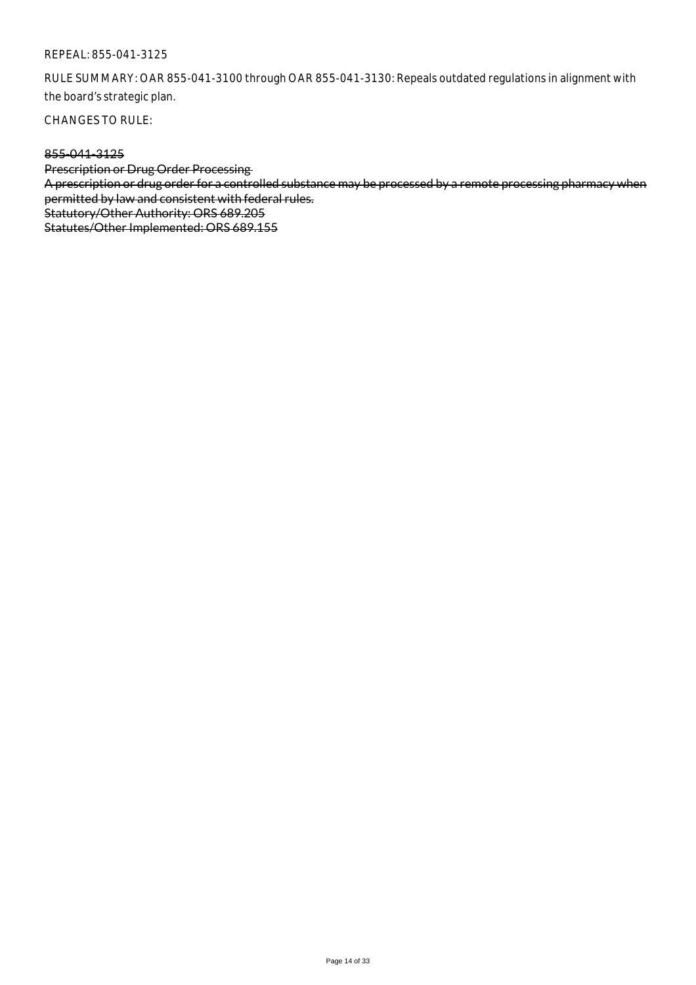RULE SUMMARY: OAR 855-041-3100 through OAR 855-041-3130: Repeals outdated regulations in alignment with the board's strategic plan.

CHANGES TO RULE:

## 855-041-3125

Prescription or Drug Order Processing A prescription or drug order for a controlled substance may be processed by a remote processing pharmacy when permitted by law and consistent with federal rules. Statutory/Other Authority: ORS 689.205 Statutes/Other Implemented: ORS 689.155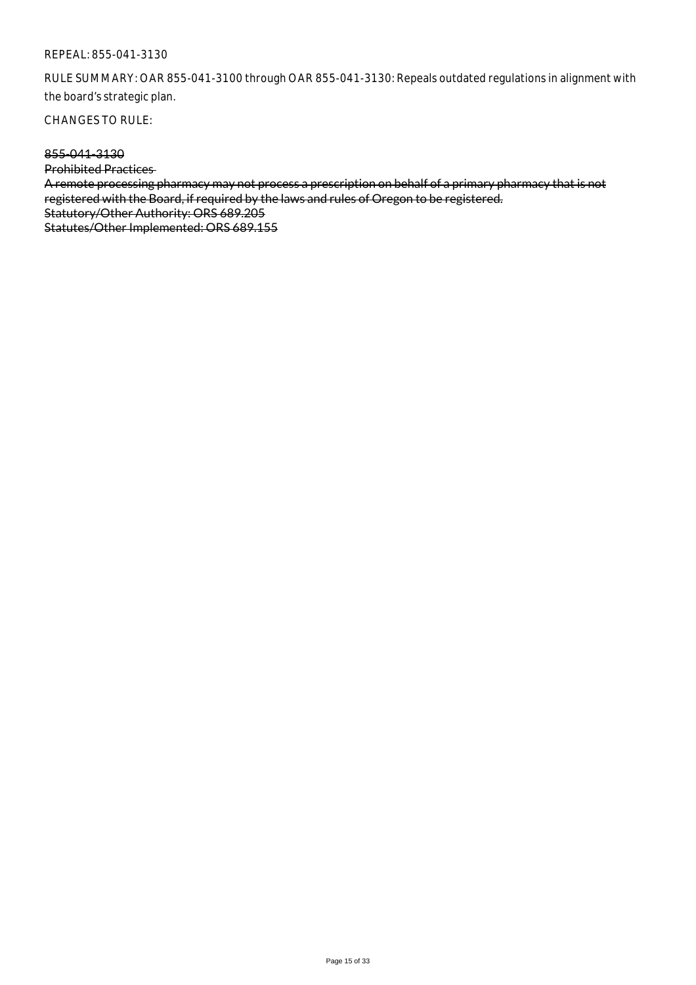RULE SUMMARY: OAR 855-041-3100 through OAR 855-041-3130: Repeals outdated regulations in alignment with the board's strategic plan.

CHANGES TO RULE:

## 855-041-3130

Prohibited Practices A remote processing pharmacy may not process a prescription on behalf of a primary pharmacy that is not registered with the Board, if required by the laws and rules of Oregon to be registered. Statutory/Other Authority: ORS 689.205 Statutes/Other Implemented: ORS 689.155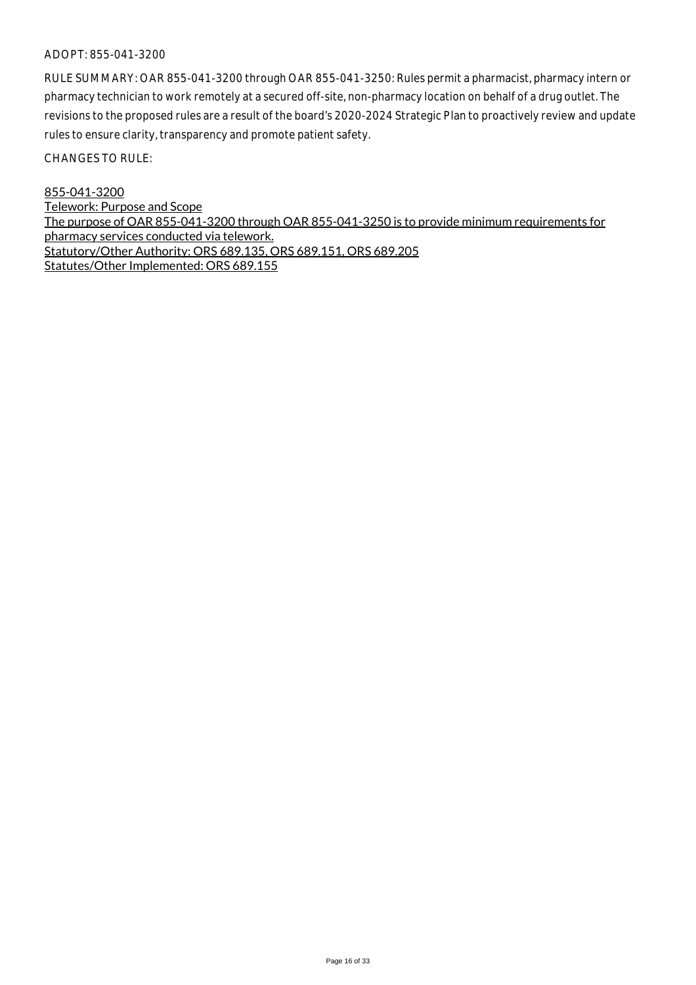RULE SUMMARY: OAR 855-041-3200 through OAR 855-041-3250: Rules permit a pharmacist, pharmacy intern or pharmacy technician to work remotely at a secured off-site, non-pharmacy location on behalf of a drug outlet. The revisions to the proposed rules are a result of the board's 2020-2024 Strategic Plan to proactively review and update rules to ensure clarity, transparency and promote patient safety.

CHANGES TO RULE:

855-041-3200 Telework: Purpose and Scope The purpose of OAR 855-041-3200 through OAR 855-041-3250 is to provide minimum requirements for pharmacy services conducted via telework. Statutory/Other Authority: ORS 689.135, ORS 689.151, ORS 689.205 Statutes/Other Implemented: ORS 689.155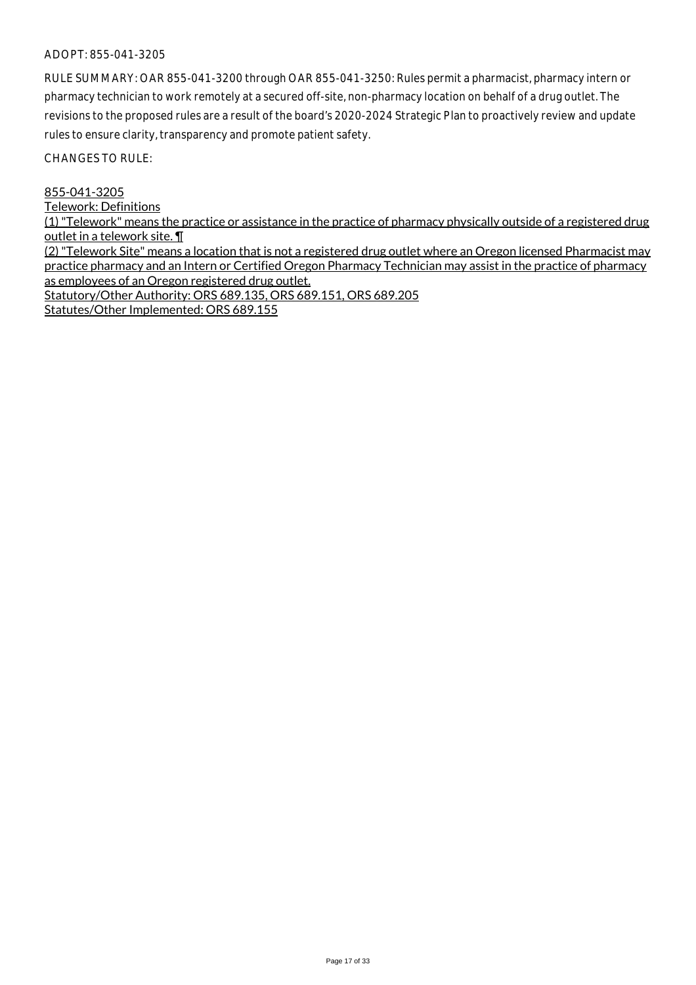RULE SUMMARY: OAR 855-041-3200 through OAR 855-041-3250: Rules permit a pharmacist, pharmacy intern or pharmacy technician to work remotely at a secured off-site, non-pharmacy location on behalf of a drug outlet. The revisions to the proposed rules are a result of the board's 2020-2024 Strategic Plan to proactively review and update rules to ensure clarity, transparency and promote patient safety.

CHANGES TO RULE:

855-041-3205

Telework: Definitions

(1) "Telework" means the practice or assistance in the practice of pharmacy physically outside of a registered drug outlet in a telework site. ¶

(2) "Telework Site" means a location that is not a registered drug outlet where an Oregon licensed Pharmacist may practice pharmacy and an Intern or Certified Oregon Pharmacy Technician may assist in the practice of pharmacy as employees of an Oregon registered drug outlet. Statutory/Other Authority: ORS 689.135, ORS 689.151, ORS 689.205 Statutes/Other Implemented: ORS 689.155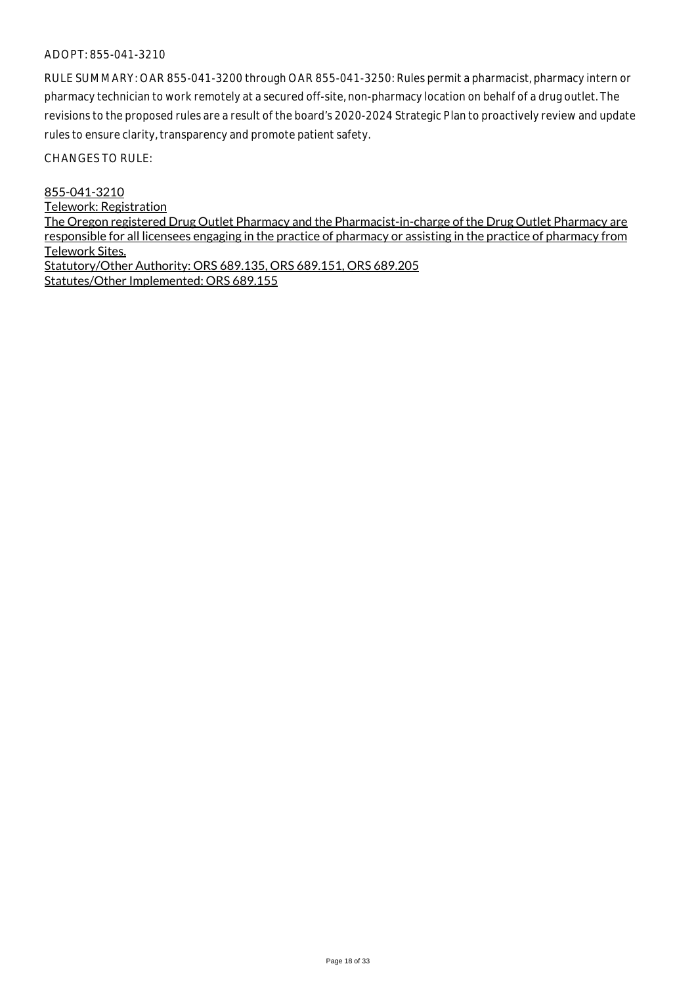RULE SUMMARY: OAR 855-041-3200 through OAR 855-041-3250: Rules permit a pharmacist, pharmacy intern or pharmacy technician to work remotely at a secured off-site, non-pharmacy location on behalf of a drug outlet. The revisions to the proposed rules are a result of the board's 2020-2024 Strategic Plan to proactively review and update rules to ensure clarity, transparency and promote patient safety.

CHANGES TO RULE:

855-041-3210 Telework: Registration The Oregon registered Drug Outlet Pharmacy and the Pharmacist-in-charge of the Drug Outlet Pharmacy are responsible for all licensees engaging in the practice of pharmacy or assisting in the practice of pharmacy from Telework Sites. Statutory/Other Authority: ORS 689.135, ORS 689.151, ORS 689.205 Statutes/Other Implemented: ORS 689.155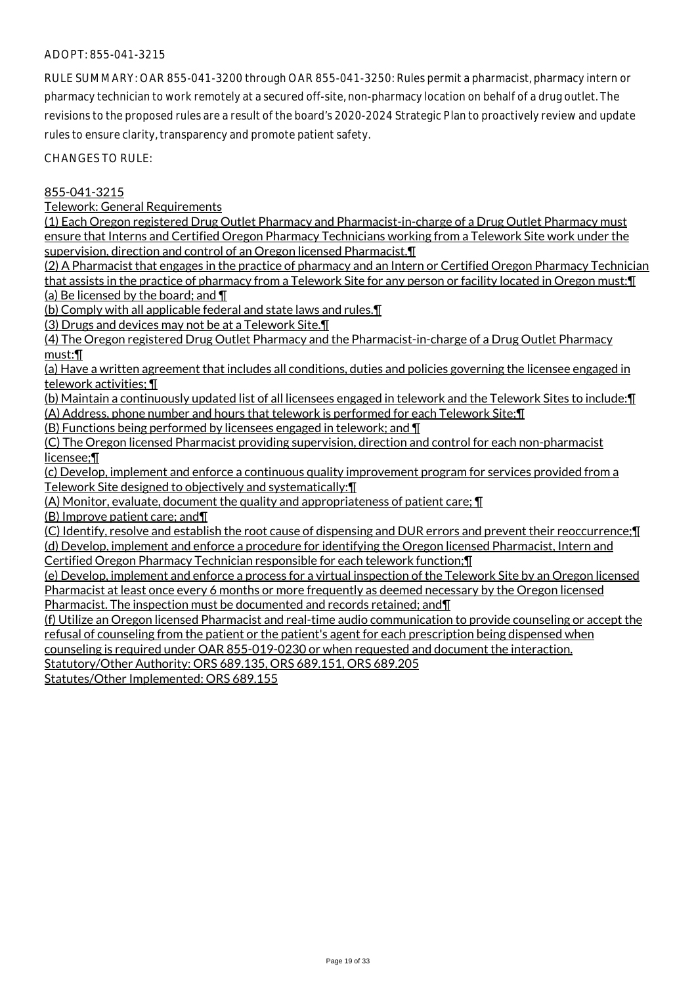RULE SUMMARY: OAR 855-041-3200 through OAR 855-041-3250: Rules permit a pharmacist, pharmacy intern or pharmacy technician to work remotely at a secured off-site, non-pharmacy location on behalf of a drug outlet. The revisions to the proposed rules are a result of the board's 2020-2024 Strategic Plan to proactively review and update rules to ensure clarity, transparency and promote patient safety.

CHANGES TO RULE:

## 855-041-3215

Telework: General Requirements

(1) Each Oregon registered Drug Outlet Pharmacy and Pharmacist-in-charge of a Drug Outlet Pharmacy must ensure that Interns and Certified Oregon Pharmacy Technicians working from a Telework Site work under the supervision, direction and control of an Oregon licensed Pharmacist.¶

(2) A Pharmacist that engages in the practice of pharmacy and an Intern or Certified Oregon Pharmacy Technician that assists in the practice of pharmacy from a Telework Site for any person or facility located in Oregon must:¶ (a) Be licensed by the board; and ¶

(b) Comply with all applicable federal and state laws and rules.¶

(3) Drugs and devices may not be at a Telework Site.¶

(4) The Oregon registered Drug Outlet Pharmacy and the Pharmacist-in-charge of a Drug Outlet Pharmacy must:¶

(a) Have a written agreement that includes all conditions, duties and policies governing the licensee engaged in telework activities; ¶

(b) Maintain a continuously updated list of all licensees engaged in telework and the Telework Sites to include:¶ (A) Address, phone number and hours that telework is performed for each Telework Site;¶

(B) Functions being performed by licensees engaged in telework; and ¶

(C) The Oregon licensed Pharmacist providing supervision, direction and control for each non-pharmacist licensee;¶

(c) Develop, implement and enforce a continuous quality improvement program for services provided from a Telework Site designed to objectively and systematically:¶

(A) Monitor, evaluate, document the quality and appropriateness of patient care; ¶

(B) Improve patient care; and¶

(C) Identify, resolve and establish the root cause of dispensing and DUR errors and prevent their reoccurrence;¶ (d) Develop, implement and enforce a procedure for identifying the Oregon licensed Pharmacist, Intern and

Certified Oregon Pharmacy Technician responsible for each telework function;¶

(e) Develop, implement and enforce a process for a virtual inspection of the Telework Site by an Oregon licensed Pharmacist at least once every 6 months or more frequently as deemed necessary by the Oregon licensed Pharmacist. The inspection must be documented and records retained; and¶

(f) Utilize an Oregon licensed Pharmacist and real-time audio communication to provide counseling or accept the refusal of counseling from the patient or the patient's agent for each prescription being dispensed when counseling is required under OAR 855-019-0230 or when requested and document the interaction.

Statutory/Other Authority: ORS 689.135, ORS 689.151, ORS 689.205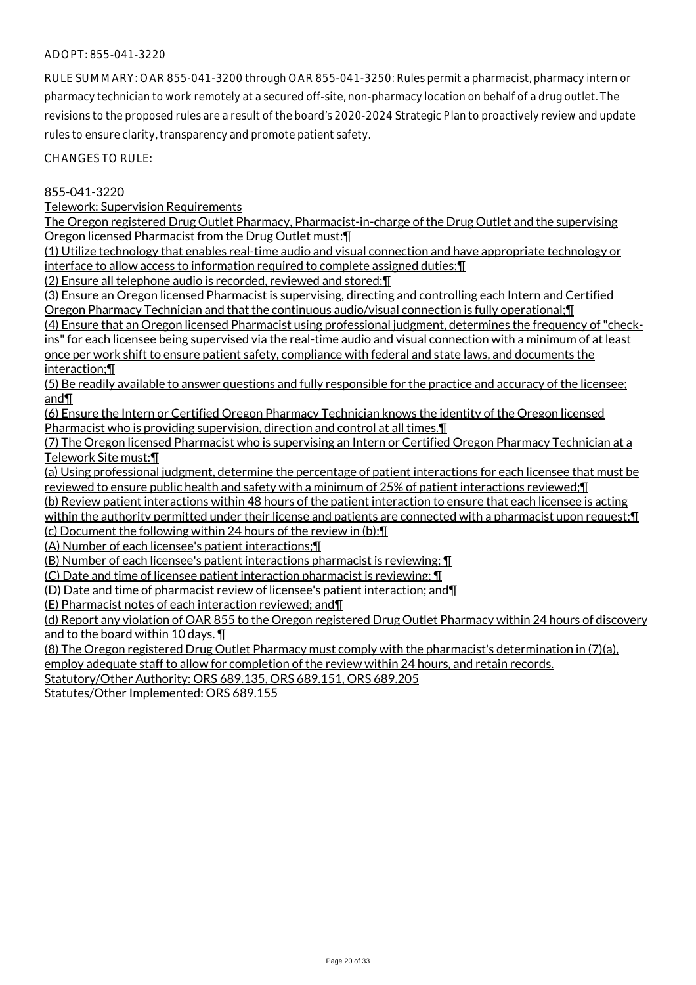RULE SUMMARY: OAR 855-041-3200 through OAR 855-041-3250: Rules permit a pharmacist, pharmacy intern or pharmacy technician to work remotely at a secured off-site, non-pharmacy location on behalf of a drug outlet. The revisions to the proposed rules are a result of the board's 2020-2024 Strategic Plan to proactively review and update rules to ensure clarity, transparency and promote patient safety.

CHANGES TO RULE:

## 855-041-3220

Telework: Supervision Requirements

The Oregon registered Drug Outlet Pharmacy, Pharmacist-in-charge of the Drug Outlet and the supervising Oregon licensed Pharmacist from the Drug Outlet must:¶

(1) Utilize technology that enables real-time audio and visual connection and have appropriate technology or interface to allow access to information required to complete assigned duties;¶

(2) Ensure all telephone audio is recorded, reviewed and stored;¶

(3) Ensure an Oregon licensed Pharmacist is supervising, directing and controlling each Intern and Certified Oregon Pharmacy Technician and that the continuous audio/visual connection is fully operational;¶

(4) Ensure that an Oregon licensed Pharmacist using professional judgment, determines the frequency of "checkins" for each licensee being supervised via the real-time audio and visual connection with a minimum of at least once per work shift to ensure patient safety, compliance with federal and state laws, and documents the interaction;¶

(5) Be readily available to answer questions and fully responsible for the practice and accuracy of the licensee; and¶

(6) Ensure the Intern or Certified Oregon Pharmacy Technician knows the identity of the Oregon licensed Pharmacist who is providing supervision, direction and control at all times.¶

(7) The Oregon licensed Pharmacist who is supervising an Intern or Certified Oregon Pharmacy Technician at a Telework Site must:¶

(a) Using professional judgment, determine the percentage of patient interactions for each licensee that must be reviewed to ensure public health and safety with a minimum of 25% of patient interactions reviewed;¶

(b) Review patient interactions within 48 hours of the patient interaction to ensure that each licensee is acting within the authority permitted under their license and patients are connected with a pharmacist upon request; I

(c) Document the following within 24 hours of the review in (b):¶

(A) Number of each licensee's patient interactions;¶

(B) Number of each licensee's patient interactions pharmacist is reviewing; ¶

(C) Date and time of licensee patient interaction pharmacist is reviewing; ¶

(D) Date and time of pharmacist review of licensee's patient interaction; and¶

(E) Pharmacist notes of each interaction reviewed; and¶

(d) Report any violation of OAR 855 to the Oregon registered Drug Outlet Pharmacy within 24 hours of discovery and to the board within 10 days. ¶

(8) The Oregon registered Drug Outlet Pharmacy must comply with the pharmacist's determination in (7)(a), employ adequate staff to allow for completion of the review within 24 hours, and retain records.

Statutory/Other Authority: ORS 689.135, ORS 689.151, ORS 689.205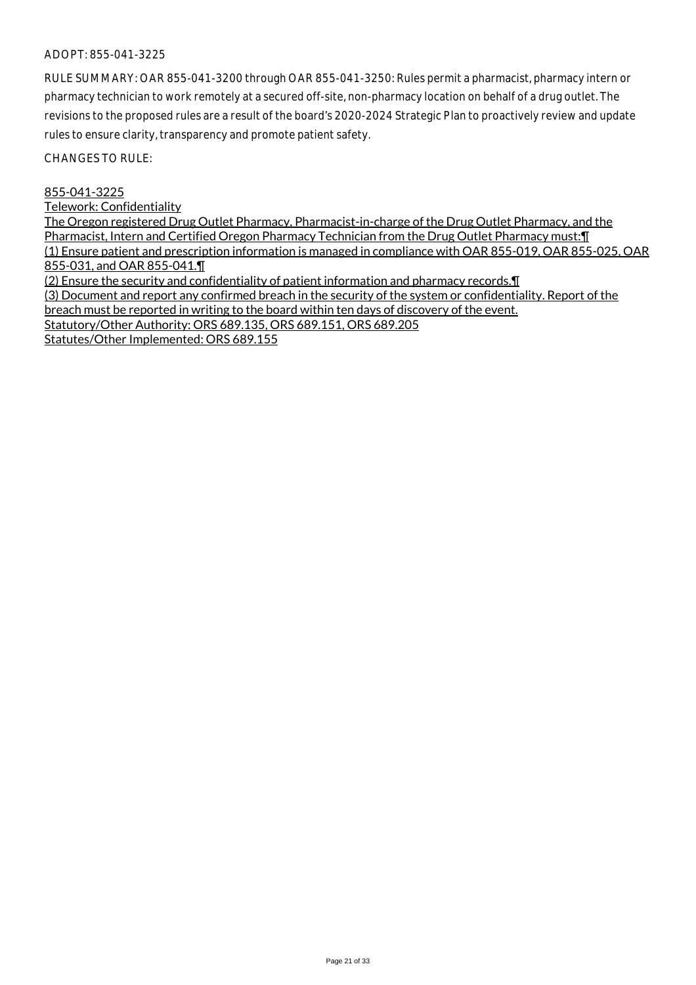RULE SUMMARY: OAR 855-041-3200 through OAR 855-041-3250: Rules permit a pharmacist, pharmacy intern or pharmacy technician to work remotely at a secured off-site, non-pharmacy location on behalf of a drug outlet. The revisions to the proposed rules are a result of the board's 2020-2024 Strategic Plan to proactively review and update rules to ensure clarity, transparency and promote patient safety.

CHANGES TO RULE:

#### 855-041-3225

Telework: Confidentiality

The Oregon registered Drug Outlet Pharmacy, Pharmacist-in-charge of the Drug Outlet Pharmacy, and the Pharmacist, Intern and Certified Oregon Pharmacy Technician from the Drug Outlet Pharmacy must:¶ (1) Ensure patient and prescription information is managed in compliance with OAR 855-019, OAR 855-025, OAR 855-031, and OAR 855-041.¶ (2) Ensure the security and confidentiality of patient information and pharmacy records.¶ (3) Document and report any confirmed breach in the security of the system or confidentiality. Report of the

breach must be reported in writing to the board within ten days of discovery of the event.

Statutory/Other Authority: ORS 689.135, ORS 689.151, ORS 689.205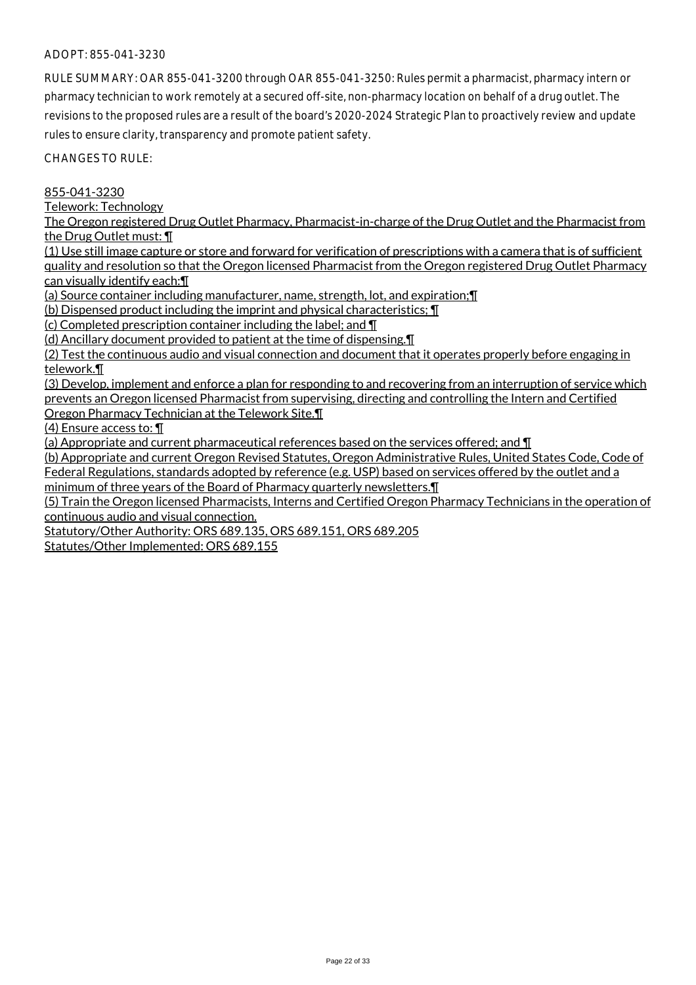RULE SUMMARY: OAR 855-041-3200 through OAR 855-041-3250: Rules permit a pharmacist, pharmacy intern or pharmacy technician to work remotely at a secured off-site, non-pharmacy location on behalf of a drug outlet. The revisions to the proposed rules are a result of the board's 2020-2024 Strategic Plan to proactively review and update rules to ensure clarity, transparency and promote patient safety.

CHANGES TO RULE:

855-041-3230

Telework: Technology

The Oregon registered Drug Outlet Pharmacy, Pharmacist-in-charge of the Drug Outlet and the Pharmacist from the Drug Outlet must: ¶

(1) Use still image capture or store and forward for verification of prescriptions with a camera that is of sufficient quality and resolution so that the Oregon licensed Pharmacist from the Oregon registered Drug Outlet Pharmacy can visually identify each:¶

(a) Source container including manufacturer, name, strength, lot, and expiration;¶

(b) Dispensed product including the imprint and physical characteristics; ¶

(c) Completed prescription container including the label; and ¶

(d) Ancillary document provided to patient at the time of dispensing.¶

(2) Test the continuous audio and visual connection and document that it operates properly before engaging in telework.¶

(3) Develop, implement and enforce a plan for responding to and recovering from an interruption of service which prevents an Oregon licensed Pharmacist from supervising, directing and controlling the Intern and Certified Oregon Pharmacy Technician at the Telework Site.¶

(4) Ensure access to: ¶

(a) Appropriate and current pharmaceutical references based on the services offered; and ¶

(b) Appropriate and current Oregon Revised Statutes, Oregon Administrative Rules, United States Code, Code of Federal Regulations, standards adopted by reference (e.g. USP) based on services offered by the outlet and a minimum of three years of the Board of Pharmacy quarterly newsletters.¶

(5) Train the Oregon licensed Pharmacists, Interns and Certified Oregon Pharmacy Technicians in the operation of continuous audio and visual connection.

Statutory/Other Authority: ORS 689.135, ORS 689.151, ORS 689.205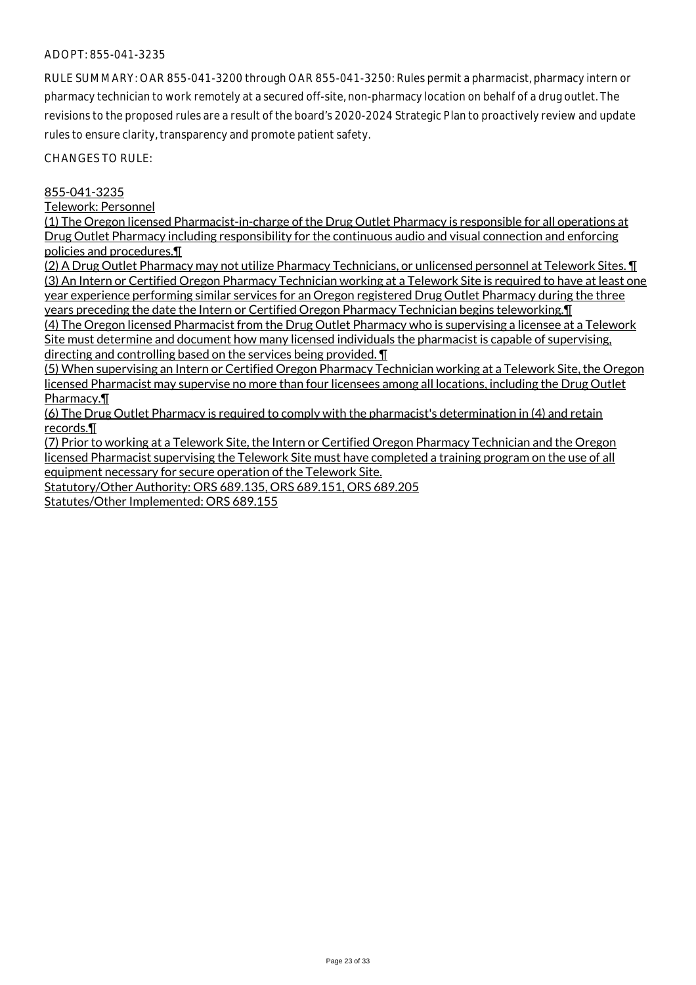RULE SUMMARY: OAR 855-041-3200 through OAR 855-041-3250: Rules permit a pharmacist, pharmacy intern or pharmacy technician to work remotely at a secured off-site, non-pharmacy location on behalf of a drug outlet. The revisions to the proposed rules are a result of the board's 2020-2024 Strategic Plan to proactively review and update rules to ensure clarity, transparency and promote patient safety.

CHANGES TO RULE:

### 855-041-3235

Telework: Personnel

(1) The Oregon licensed Pharmacist-in-charge of the Drug Outlet Pharmacy is responsible for all operations at Drug Outlet Pharmacy including responsibility for the continuous audio and visual connection and enforcing policies and procedures.¶

(2) A Drug Outlet Pharmacy may not utilize Pharmacy Technicians, or unlicensed personnel at Telework Sites. ¶ (3) An Intern or Certified Oregon Pharmacy Technician working at a Telework Site is required to have at least one year experience performing similar services for an Oregon registered Drug Outlet Pharmacy during the three years preceding the date the Intern or Certified Oregon Pharmacy Technician begins teleworking.¶

(4) The Oregon licensed Pharmacist from the Drug Outlet Pharmacy who is supervising a licensee at a Telework Site must determine and document how many licensed individuals the pharmacist is capable of supervising, directing and controlling based on the services being provided. ¶

(5) When supervising an Intern or Certified Oregon Pharmacy Technician working at a Telework Site, the Oregon licensed Pharmacist may supervise no more than four licensees among all locations, including the Drug Outlet Pharmacy.¶

(6) The Drug Outlet Pharmacy is required to comply with the pharmacist's determination in (4) and retain records.¶

(7) Prior to working at a Telework Site, the Intern or Certified Oregon Pharmacy Technician and the Oregon licensed Pharmacist supervising the Telework Site must have completed a training program on the use of all equipment necessary for secure operation of the Telework Site.

Statutory/Other Authority: ORS 689.135, ORS 689.151, ORS 689.205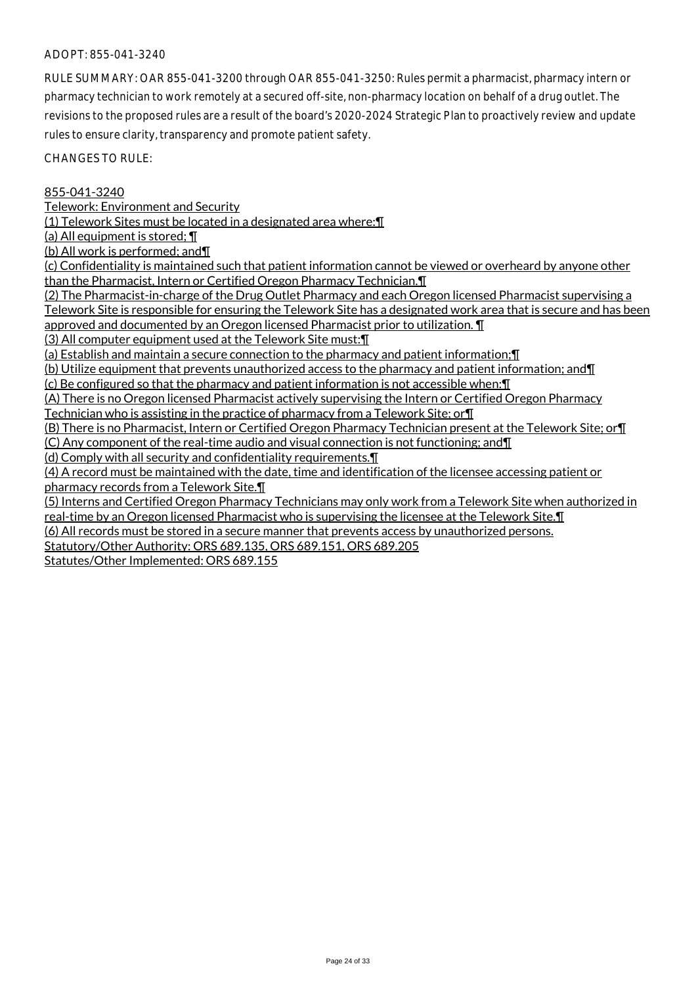RULE SUMMARY: OAR 855-041-3200 through OAR 855-041-3250: Rules permit a pharmacist, pharmacy intern or pharmacy technician to work remotely at a secured off-site, non-pharmacy location on behalf of a drug outlet. The revisions to the proposed rules are a result of the board's 2020-2024 Strategic Plan to proactively review and update rules to ensure clarity, transparency and promote patient safety.

CHANGES TO RULE:

### 855-041-3240

Telework: Environment and Security

(1) Telework Sites must be located in a designated area where:¶

(a) All equipment is stored; ¶

(b) All work is performed; and¶

(c) Confidentiality is maintained such that patient information cannot be viewed or overheard by anyone other than the Pharmacist, Intern or Certified Oregon Pharmacy Technician.¶

(2) The Pharmacist-in-charge of the Drug Outlet Pharmacy and each Oregon licensed Pharmacist supervising a Telework Site is responsible for ensuring the Telework Site has a designated work area that is secure and has been approved and documented by an Oregon licensed Pharmacist prior to utilization. ¶

(3) All computer equipment used at the Telework Site must:¶

(a) Establish and maintain a secure connection to the pharmacy and patient information;¶

(b) Utilize equipment that prevents unauthorized access to the pharmacy and patient information; and¶

(c) Be configured so that the pharmacy and patient information is not accessible when:¶

(A) There is no Oregon licensed Pharmacist actively supervising the Intern or Certified Oregon Pharmacy Technician who is assisting in the practice of pharmacy from a Telework Site; or¶

(B) There is no Pharmacist, Intern or Certified Oregon Pharmacy Technician present at the Telework Site; or¶

(C) Any component of the real-time audio and visual connection is not functioning; and¶

(d) Comply with all security and confidentiality requirements.¶

(4) A record must be maintained with the date, time and identification of the licensee accessing patient or

pharmacy records from a Telework Site.¶

(5) Interns and Certified Oregon Pharmacy Technicians may only work from a Telework Site when authorized in real-time by an Oregon licensed Pharmacist who is supervising the licensee at the Telework Site.¶

(6) All records must be stored in a secure manner that prevents access by unauthorized persons.

Statutory/Other Authority: ORS 689.135, ORS 689.151, ORS 689.205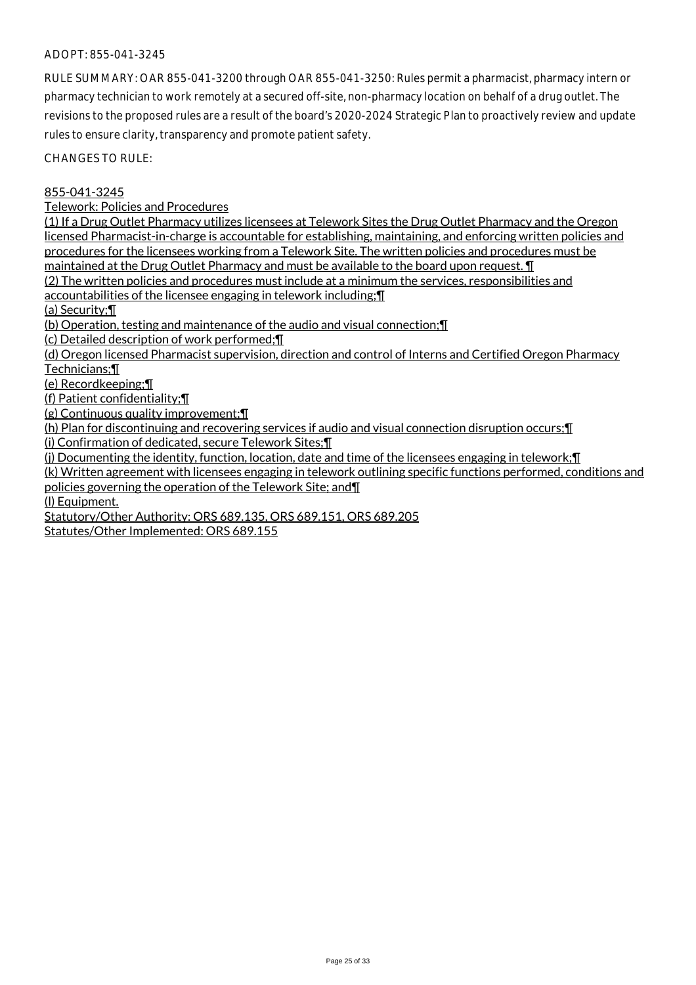RULE SUMMARY: OAR 855-041-3200 through OAR 855-041-3250: Rules permit a pharmacist, pharmacy intern or pharmacy technician to work remotely at a secured off-site, non-pharmacy location on behalf of a drug outlet. The revisions to the proposed rules are a result of the board's 2020-2024 Strategic Plan to proactively review and update rules to ensure clarity, transparency and promote patient safety.

CHANGES TO RULE:

855-041-3245

Telework: Policies and Procedures

(1) If a Drug Outlet Pharmacy utilizes licensees at Telework Sites the Drug Outlet Pharmacy and the Oregon licensed Pharmacist-in-charge is accountable for establishing, maintaining, and enforcing written policies and procedures for the licensees working from a Telework Site. The written policies and procedures must be maintained at the Drug Outlet Pharmacy and must be available to the board upon request. ¶

(2) The written policies and procedures must include at a minimum the services, responsibilities and accountabilities of the licensee engaging in telework including;¶

(a) Security;¶

(b) Operation, testing and maintenance of the audio and visual connection;¶

(c) Detailed description of work performed;¶

(d) Oregon licensed Pharmacist supervision, direction and control of Interns and Certified Oregon Pharmacy Technicians;¶

(e) Recordkeeping;¶

(f) Patient confidentiality;¶

(g) Continuous quality improvement;¶

(h) Plan for discontinuing and recovering services if audio and visual connection disruption occurs;¶

(i) Confirmation of dedicated, secure Telework Sites;¶

(j) Documenting the identity, function, location, date and time of the licensees engaging in telework;¶

(k) Written agreement with licensees engaging in telework outlining specific functions performed, conditions and policies governing the operation of the Telework Site; and¶

(l) Equipment.

Statutory/Other Authority: ORS 689.135, ORS 689.151, ORS 689.205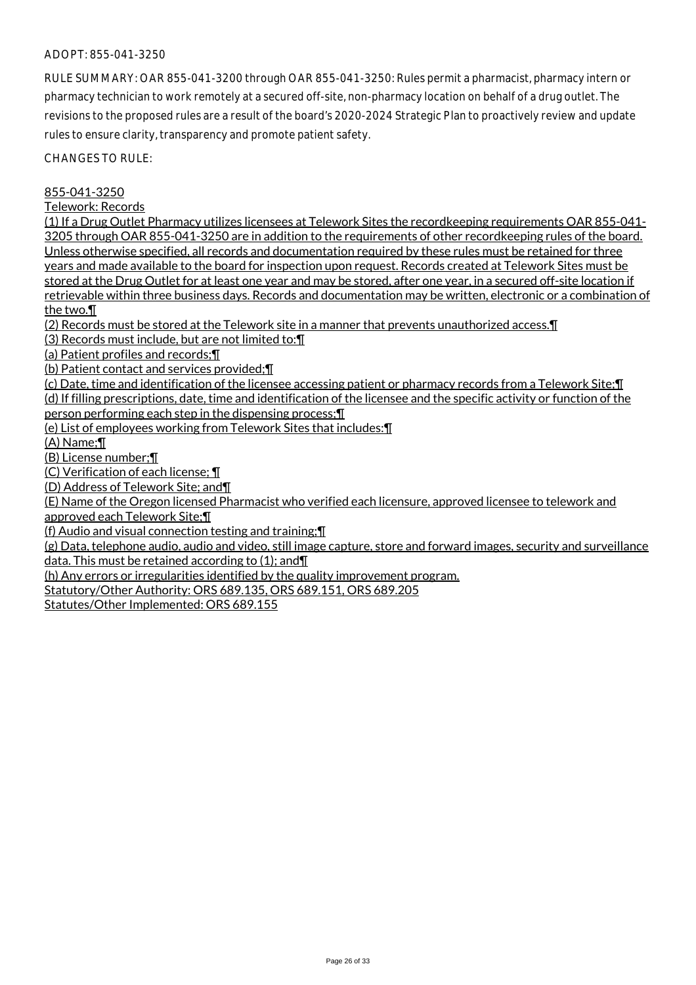RULE SUMMARY: OAR 855-041-3200 through OAR 855-041-3250: Rules permit a pharmacist, pharmacy intern or pharmacy technician to work remotely at a secured off-site, non-pharmacy location on behalf of a drug outlet. The revisions to the proposed rules are a result of the board's 2020-2024 Strategic Plan to proactively review and update rules to ensure clarity, transparency and promote patient safety.

CHANGES TO RULE:

855-041-3250

Telework: Records

(1) If a Drug Outlet Pharmacy utilizes licensees at Telework Sites the recordkeeping requirements OAR 855-041- 3205 through OAR 855-041-3250 are in addition to the requirements of other recordkeeping rules of the board. Unless otherwise specified, all records and documentation required by these rules must be retained for three years and made available to the board for inspection upon request. Records created at Telework Sites must be stored at the Drug Outlet for at least one year and may be stored, after one year, in a secured off-site location if retrievable within three business days. Records and documentation may be written, electronic or a combination of the two.¶

(2) Records must be stored at the Telework site in a manner that prevents unauthorized access.¶

(3) Records must include, but are not limited to:¶

(a) Patient profiles and records;¶

(b) Patient contact and services provided;¶

(c) Date, time and identification of the licensee accessing patient or pharmacy records from a Telework Site;¶ (d) If filling prescriptions, date, time and identification of the licensee and the specific activity or function of the person performing each step in the dispensing process;¶

(e) List of employees working from Telework Sites that includes:¶

(A) Name;¶

(B) License number;¶

(C) Verification of each license; ¶

(D) Address of Telework Site; and¶

(E) Name of the Oregon licensed Pharmacist who verified each licensure, approved licensee to telework and approved each Telework Site;¶

(f) Audio and visual connection testing and training;¶

(g) Data, telephone audio, audio and video, still image capture, store and forward images, security and surveillance data. This must be retained according to (1); and¶

(h) Any errors or irregularities identified by the quality improvement program.

Statutory/Other Authority: ORS 689.135, ORS 689.151, ORS 689.205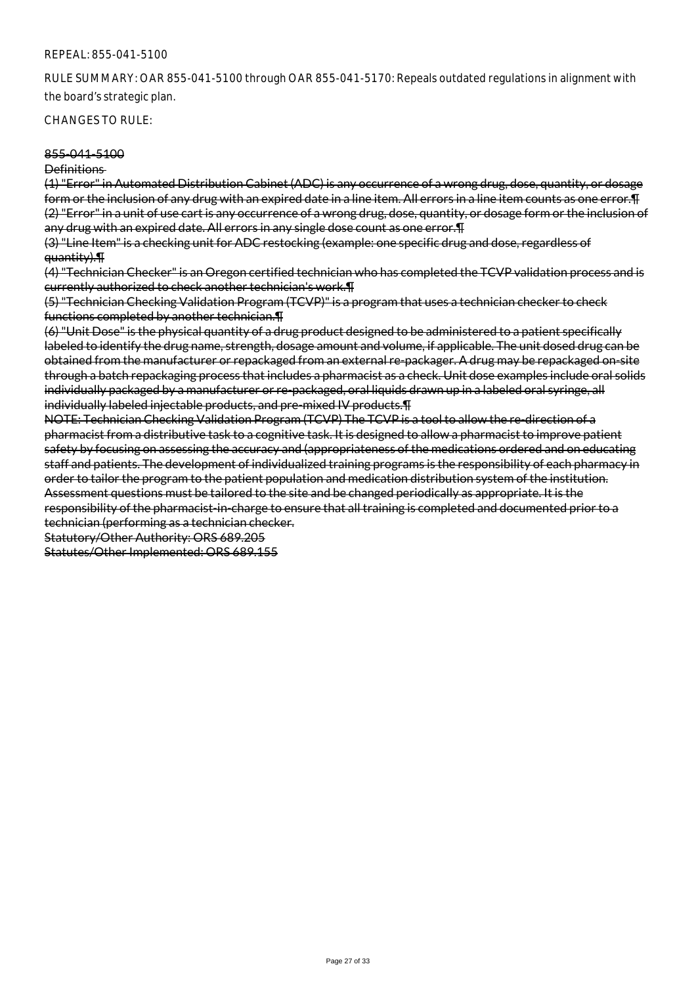RULE SUMMARY: OAR 855-041-5100 through OAR 855-041-5170: Repeals outdated regulations in alignment with the board's strategic plan.

#### CHANGES TO RULE:

#### 855-041-5100

#### Definitions

(1) "Error" in Automated Distribution Cabinet (ADC) is any occurrence of a wrong drug, dose, quantity, or dosage form or the inclusion of any drug with an expired date in a line item. All errors in a line item counts as one error. I (2) "Error" in a unit of use cart is any occurrence of a wrong drug, dose, quantity, or dosage form or the inclusion of any drug with an expired date. All errors in any single dose count as one error.¶

(3) "Line Item" is a checking unit for ADC restocking (example: one specific drug and dose, regardless of quantity).¶

(4) "Technician Checker" is an Oregon certified technician who has completed the TCVP validation process and is currently authorized to check another technician's work.¶

(5) "Technician Checking Validation Program (TCVP)" is a program that uses a technician checker to check functions completed by another technician.¶

(6) "Unit Dose" is the physical quantity of a drug product designed to be administered to a patient specifically labeled to identify the drug name, strength, dosage amount and volume, if applicable. The unit dosed drug can be obtained from the manufacturer or repackaged from an external re-packager. A drug may be repackaged on-site through a batch repackaging process that includes a pharmacist as a check. Unit dose examples include oral solids individually packaged by a manufacturer or re-packaged, oral liquids drawn up in a labeled oral syringe, all individually labeled injectable products, and pre-mixed IV products.¶

NOTE: Technician Checking Validation Program (TCVP) The TCVP is a tool to allow the re-direction of a pharmacist from a distributive task to a cognitive task. It is designed to allow a pharmacist to improve patient safety by focusing on assessing the accuracy and (appropriateness of the medications ordered and on educating staff and patients. The development of individualized training programs is the responsibility of each pharmacy in order to tailor the program to the patient population and medication distribution system of the institution. Assessment questions must be tailored to the site and be changed periodically as appropriate. It is the responsibility of the pharmacist-in-charge to ensure that all training is completed and documented prior to a technician (performing as a technician checker.

Statutory/Other Authority: ORS 689.205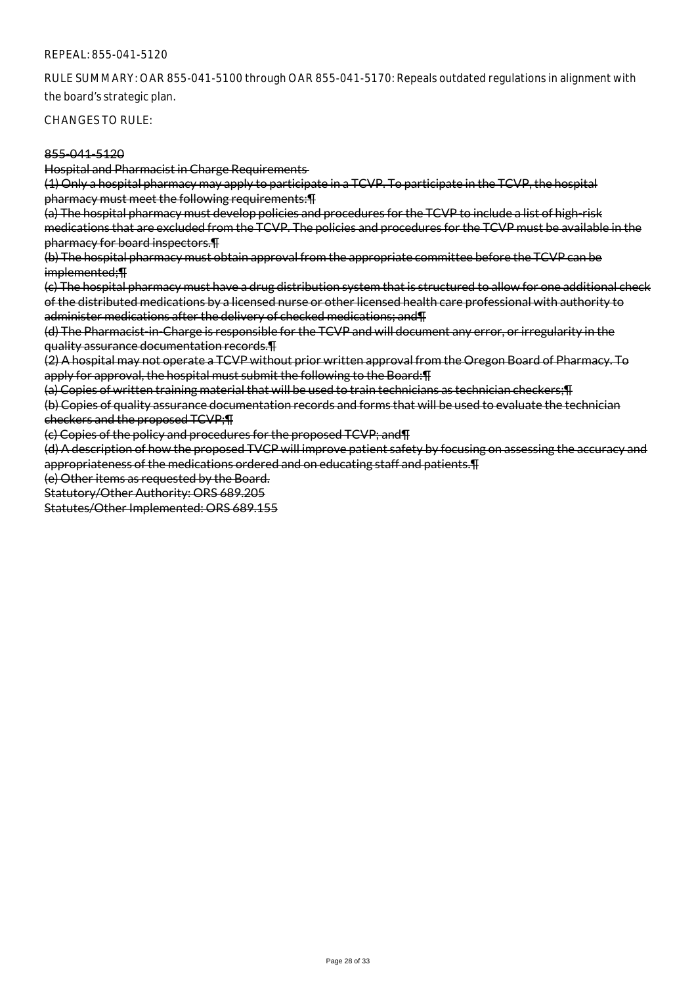RULE SUMMARY: OAR 855-041-5100 through OAR 855-041-5170: Repeals outdated regulations in alignment with the board's strategic plan.

CHANGES TO RULE:

### 855-041-5120

Hospital and Pharmacist in Charge Requirements

(1) Only a hospital pharmacy may apply to participate in a TCVP. To participate in the TCVP, the hospital pharmacy must meet the following requirements:¶

(a) The hospital pharmacy must develop policies and procedures for the TCVP to include a list of high-risk medications that are excluded from the TCVP. The policies and procedures for the TCVP must be available in the pharmacy for board inspectors.¶

(b) The hospital pharmacy must obtain approval from the appropriate committee before the TCVP can be implemented;¶

(c) The hospital pharmacy must have a drug distribution system that is structured to allow for one additional check of the distributed medications by a licensed nurse or other licensed health care professional with authority to administer medications after the delivery of checked medications; and¶

(d) The Pharmacist-in-Charge is responsible for the TCVP and will document any error, or irregularity in the quality assurance documentation records.¶

(2) A hospital may not operate a TCVP without prior written approval from the Oregon Board of Pharmacy. To apply for approval, the hospital must submit the following to the Board: [15]

(a) Copies of written training material that will be used to train technicians as technician checkers;¶ (b) Copies of quality assurance documentation records and forms that will be used to evaluate the technician checkers and the proposed TCVP;¶

(c) Copies of the policy and procedures for the proposed TCVP; and¶

(d) A description of how the proposed TVCP will improve patient safety by focusing on assessing the accuracy and appropriateness of the medications ordered and on educating staff and patients.¶

(e) Other items as requested by the Board.

Statutory/Other Authority: ORS 689.205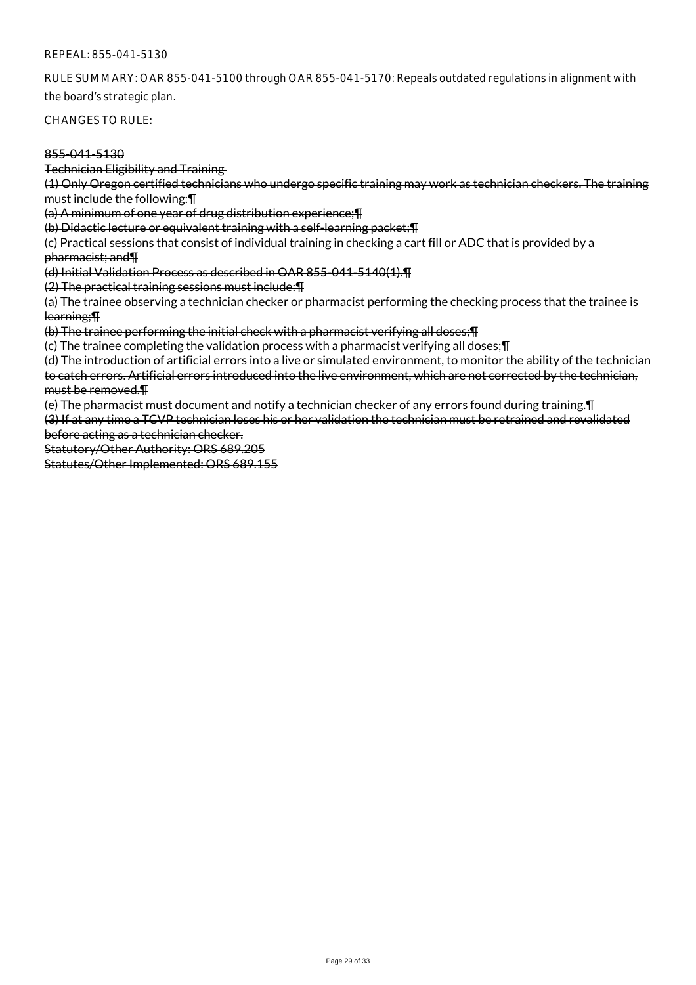RULE SUMMARY: OAR 855-041-5100 through OAR 855-041-5170: Repeals outdated regulations in alignment with the board's strategic plan.

CHANGES TO RULE:

## 855-041-5130

Technician Eligibility and Training

(1) Only Oregon certified technicians who undergo specific training may work as technician checkers. The training must include the following:¶

(a) A minimum of one year of drug distribution experience;¶

(b) Didactic lecture or equivalent training with a self-learning packet;¶

(c) Practical sessions that consist of individual training in checking a cart fill or ADC that is provided by a pharmacist; and¶

(d) Initial Validation Process as described in OAR 855-041-5140(1).¶

(2) The practical training sessions must include:¶

(a) The trainee observing a technician checker or pharmacist performing the checking process that the trainee is learning;¶

(b) The trainee performing the initial check with a pharmacist verifying all doses;¶

(c) The trainee completing the validation process with a pharmacist verifying all doses;¶

(d) The introduction of artificial errors into a live or simulated environment, to monitor the ability of the technician to catch errors. Artificial errors introduced into the live environment, which are not corrected by the technician, must be removed.¶

(e) The pharmacist must document and notify a technician checker of any errors found during training.¶

(3) If at any time a TCVP technician loses his or her validation the technician must be retrained and revalidated before acting as a technician checker.

Statutory/Other Authority: ORS 689.205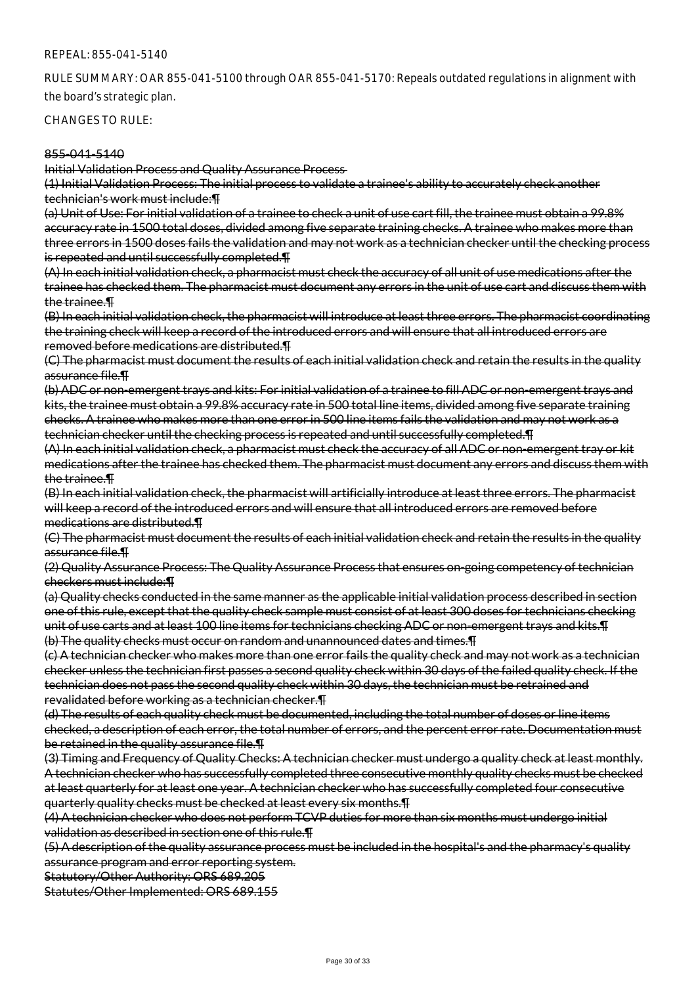RULE SUMMARY: OAR 855-041-5100 through OAR 855-041-5170: Repeals outdated regulations in alignment with the board's strategic plan.

CHANGES TO RULE:

#### 855-041-5140

Initial Validation Process and Quality Assurance Process

(1) Initial Validation Process: The initial process to validate a trainee's ability to accurately check another technician's work must include:¶

(a) Unit of Use: For initial validation of a trainee to check a unit of use cart fill, the trainee must obtain a 99.8% accuracy rate in 1500 total doses, divided among five separate training checks. A trainee who makes more than three errors in 1500 doses fails the validation and may not work as a technician checker until the checking process is repeated and until successfully completed.¶

(A) In each initial validation check, a pharmacist must check the accuracy of all unit of use medications after the trainee has checked them. The pharmacist must document any errors in the unit of use cart and discuss them with the trainee.¶

(B) In each initial validation check, the pharmacist will introduce at least three errors. The pharmacist coordinating the training check will keep a record of the introduced errors and will ensure that all introduced errors are removed before medications are distributed.¶

(C) The pharmacist must document the results of each initial validation check and retain the results in the quality assurance file.¶

(b) ADC or non-emergent trays and kits: For initial validation of a trainee to fill ADC or non-emergent trays and kits, the trainee must obtain a 99.8% accuracy rate in 500 total line items, divided among five separate training checks. A trainee who makes more than one error in 500 line items fails the validation and may not work as a technician checker until the checking process is repeated and until successfully completed.¶

(A) In each initial validation check, a pharmacist must check the accuracy of all ADC or non-emergent tray or kit medications after the trainee has checked them. The pharmacist must document any errors and discuss them with the trainee.¶

(B) In each initial validation check, the pharmacist will artificially introduce at least three errors. The pharmacist will keep a record of the introduced errors and will ensure that all introduced errors are removed before medications are distributed.¶

(C) The pharmacist must document the results of each initial validation check and retain the results in the quality assurance file.¶

(2) Quality Assurance Process: The Quality Assurance Process that ensures on-going competency of technician checkers must include:¶

(a) Quality checks conducted in the same manner as the applicable initial validation process described in section one of this rule, except that the quality check sample must consist of at least 300 doses for technicians checking unit of use carts and at least 100 line items for technicians checking ADC or non-emergent trays and kits.¶ (b) The quality checks must occur on random and unannounced dates and times.¶

(c) A technician checker who makes more than one error fails the quality check and may not work as a technician checker unless the technician first passes a second quality check within 30 days of the failed quality check. If the technician does not pass the second quality check within 30 days, the technician must be retrained and revalidated before working as a technician checker.¶

(d) The results of each quality check must be documented, including the total number of doses or line items checked, a description of each error, the total number of errors, and the percent error rate. Documentation must be retained in the quality assurance file.¶

(3) Timing and Frequency of Quality Checks: A technician checker must undergo a quality check at least monthly. A technician checker who has successfully completed three consecutive monthly quality checks must be checked at least quarterly for at least one year. A technician checker who has successfully completed four consecutive quarterly quality checks must be checked at least every six months.¶

(4) A technician checker who does not perform TCVP duties for more than six months must undergo initial validation as described in section one of this rule.¶

(5) A description of the quality assurance process must be included in the hospital's and the pharmacy's quality assurance program and error reporting system.

Statutory/Other Authority: ORS 689.205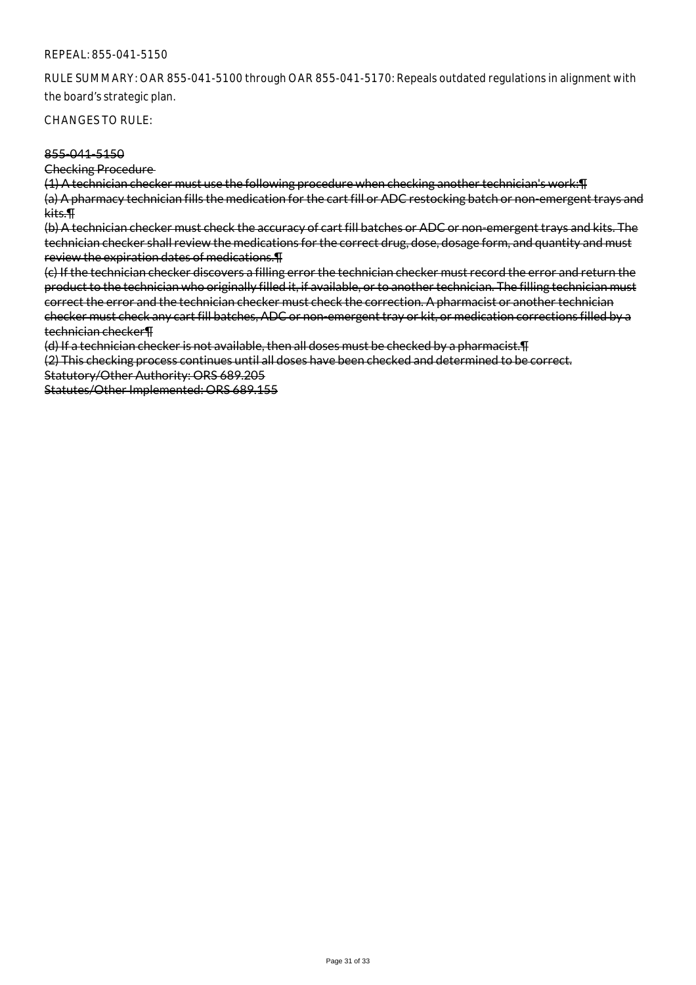RULE SUMMARY: OAR 855-041-5100 through OAR 855-041-5170: Repeals outdated regulations in alignment with the board's strategic plan.

CHANGES TO RULE:

#### 855-041-5150

Checking Procedure

(1) A technician checker must use the following procedure when checking another technician's work:¶ (a) A pharmacy technician fills the medication for the cart fill or ADC restocking batch or non-emergent trays and kits.¶

(b) A technician checker must check the accuracy of cart fill batches or ADC or non-emergent trays and kits. The technician checker shall review the medications for the correct drug, dose, dosage form, and quantity and must review the expiration dates of medications.¶

(c) If the technician checker discovers a filling error the technician checker must record the error and return the product to the technician who originally filled it, if available, or to another technician. The filling technician must correct the error and the technician checker must check the correction. A pharmacist or another technician checker must check any cart fill batches, ADC or non-emergent tray or kit, or medication corrections filled by a technician checker¶

(d) If a technician checker is not available, then all doses must be checked by a pharmacist.¶

(2) This checking process continues until all doses have been checked and determined to be correct. Statutory/Other Authority: ORS 689.205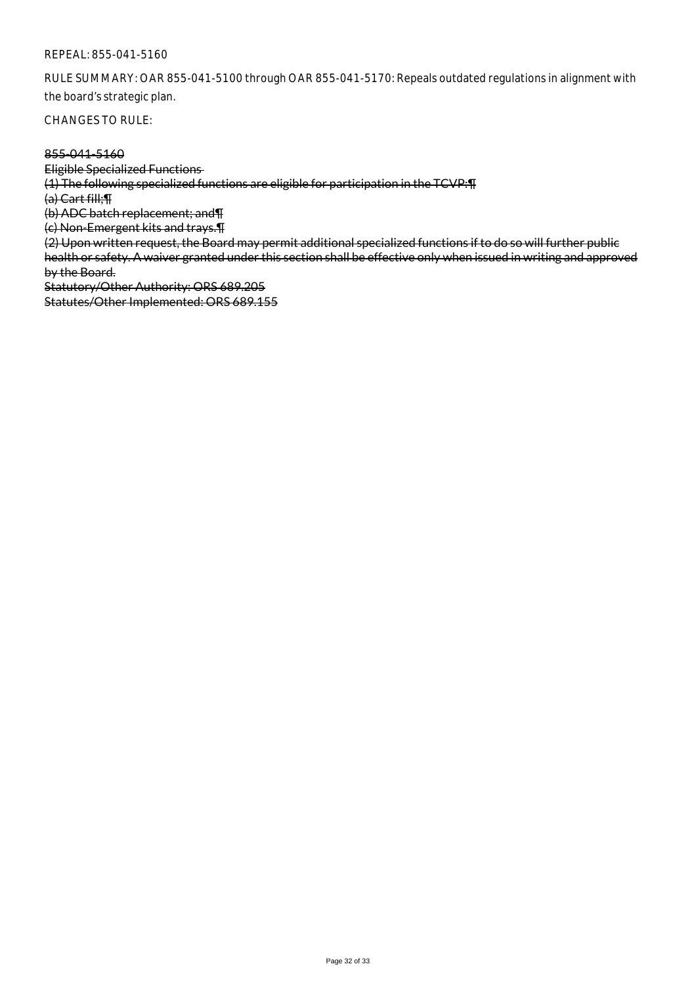RULE SUMMARY: OAR 855-041-5100 through OAR 855-041-5170: Repeals outdated regulations in alignment with the board's strategic plan.

CHANGES TO RULE:

#### 855-041-5160

Eligible Specialized Functions (1) The following specialized functions are eligible for participation in the TCVP:¶ (a) Cart fill;¶ (b) ADC batch replacement; and¶ (c) Non-Emergent kits and trays.¶ (2) Upon written request, the Board may permit additional specialized functions if to do so will further public health or safety. A waiver granted under this section shall be effective only when issued in writing and approved by the Board. Statutory/Other Authority: ORS 689.205 Statutes/Other Implemented: ORS 689.155